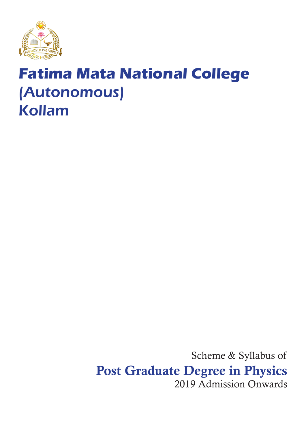

# **Fatima Mata National College** (Autonomous) Kollam

Scheme & Syllabus of Post Graduate Degree in Physics 2019 Admission Onwards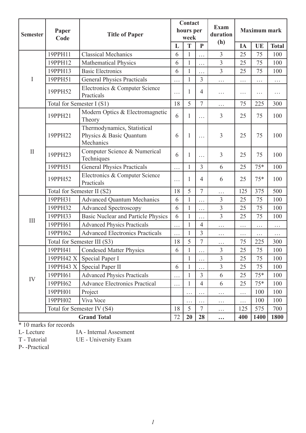| <b>Semester</b>    | Paper<br>Code               | <b>Title of Paper</b>                                               | Contact<br>hours per<br>week |              | <b>Exam</b><br>duration<br>(h) | <b>Maximum mark</b> |          |       |              |
|--------------------|-----------------------------|---------------------------------------------------------------------|------------------------------|--------------|--------------------------------|---------------------|----------|-------|--------------|
|                    |                             |                                                                     | L                            | T            | $\mathbf{P}$                   |                     | IA       | UE    | <b>Total</b> |
|                    | 19PPH11                     | <b>Classical Mechanics</b>                                          | 6                            | 1            | .                              | 3                   | 25       | 75    | 100          |
|                    | 19PPH12                     | Mathematical Physics                                                | 6                            | $\mathbf{1}$ | $\cdots$                       | $\overline{3}$      | 25       | 75    | 100          |
|                    | 19PPH13                     | <b>Basic Electronics</b>                                            | 6                            | 1            | .                              | $\overline{3}$      | 25       | 75    | 100          |
| I                  | 19PPH51                     | <b>General Physics Practicals</b>                                   | .                            | $\mathbf{1}$ | 3                              | $\cdots$            | $\cdots$ | .     | $\cdots$     |
|                    | 19PPH52                     | Electronics & Computer Science<br>Practicals                        | .                            | 1            | $\overline{4}$                 | $\cdots$            | .        | .     | .            |
|                    | Total for Semester I (S1)   |                                                                     | 18                           | 5            | $\overline{7}$                 | $\cdots$            | 75       | 225   | 300          |
|                    | 19PPH21                     | Modern Optics & Electromagnetic<br>Theory                           | 6                            | 1            | $\cdots$                       | 3                   | 25       | 75    | 100          |
|                    | 19PPH22                     | Thermodynamics, Statistical<br>Physics & Basic Quantum<br>Mechanics | 6                            | 1            | $\cdots$                       | 3                   | 25       | 75    | 100          |
| $\mathbf{I}$       | 19PPH23                     | Computer Science & Numerical<br>Techniques                          | 6                            | 1            | .                              | 3                   | 25       | 75    | 100          |
|                    | 19PPH51                     | <b>General Physics Practicals</b>                                   | $\cdots$                     | 1            | 3                              | 6                   | 25       | $75*$ | 100          |
|                    | 19PPH52                     | Electronics & Computer Science<br>Practicals                        | .                            | 1            | $\overline{4}$                 | 6                   | 25       | $75*$ | 100          |
|                    | Total for Semester II (S2)  |                                                                     | 18                           | 5            | 7                              | $\cdots$            | 125      | 375   | 500          |
|                    | 19PPH31                     | <b>Advanced Quantum Mechanics</b>                                   | 6                            | 1            | .                              | 3                   | 25       | 75    | 100          |
|                    | 19PPH32                     | <b>Advanced Spectroscopy</b>                                        | 6                            | $\mathbf{1}$ | .                              | 3                   | 25       | 75    | 100          |
|                    | 19PPH33                     | <b>Basic Nuclear and Particle Physics</b>                           | 6                            | 1            | .                              | 3                   | 25       | 75    | 100          |
| III                | 19PPH61                     | <b>Advanced Physics Practicals</b>                                  | .                            | $\mathbf{1}$ | $\overline{4}$                 | .                   | $\cdots$ | .     | $\cdots$     |
|                    | 19PPH62                     | <b>Advanced Electronics Practicals</b>                              | $\cdots$                     | $\mathbf{1}$ | 3                              | $\cdots$            | $\cdots$ | .     | $\cdots$     |
|                    | Total for Semester III (S3) |                                                                     | 18                           | 5            | 7                              | $\cdots$            | 75       | 225   | 300          |
|                    | 19PPH41                     | Condesed Matter Physics                                             | 6                            |              | $\cdots$                       | 3                   | 25       | 75    | 100          |
|                    | 19PPH42 X                   | Special Paper I                                                     |                              | $\mathbf{1}$ | .                              | $\overline{3}$      | 25       | 75    | 100          |
|                    | 19PPH43 X                   | Special Paper II                                                    | 6                            | $\mathbf{1}$ | $\cdots$                       | $\overline{3}$      | 25       | 75    | 100          |
| IV                 | 19PPH61                     | <b>Advanced Physics Practicals</b>                                  | .                            | 1            | $\overline{3}$                 | 6                   | 25       | $75*$ | 100          |
|                    | 19PPH62                     | <b>Advance Electronics Practical</b>                                | .                            | 1            | $\overline{4}$                 | 6                   | 25       | $75*$ | 100          |
|                    | 19PPH01                     | Project                                                             |                              | .            | $\cdots$                       | $\cdots$            | $\cdots$ | 100   | 100          |
|                    | 19PPH02                     | Viva Voce                                                           |                              | .            |                                | $\cdots$            | .        | 100   | 100          |
|                    | Total for Semester IV (S4)  |                                                                     | 18                           | 5            | $\overline{7}$                 | $\cdots$            | 125      | 575   | 700          |
| <b>Grand Total</b> |                             |                                                                     | 72                           | 20           | 28                             | $\ddotsc$           | 400      | 1400  | 1800         |

\* 10 marks for records

L- Lecture IA - Internal Assesment<br>T - Tutorial UE - University Exam UE - University Exam

P- -Practical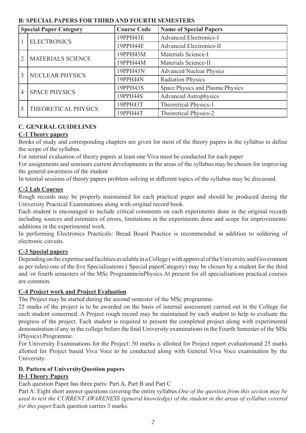| <b>Special Paper Category</b> |                        | <b>Course Code</b> | <b>Name of Special Papers</b>    |  |
|-------------------------------|------------------------|--------------------|----------------------------------|--|
|                               | <b>ELECTRONICS</b>     | 19PPH43E           | <b>Advanced Electronics-I</b>    |  |
|                               |                        | 19PPH44E           | <b>Advanced Electronics-II</b>   |  |
| $\overline{2}$                | MATERIALS SCIENCE      | 19PPH43M           | Materials Science-I              |  |
|                               |                        | 19PPH44M           | Materials Science-II             |  |
| 3                             | <b>NUCLEAR PHYSICS</b> | 19PPH43N           | <b>Advanced Nuclear Physics</b>  |  |
|                               |                        | 19PPH44N           | <b>Radiation Physics</b>         |  |
| $\overline{4}$                | <b>SPACE PHYSICS</b>   | 19PPH43S           | Space Physics and Plasma Physics |  |
|                               |                        | 19PPH44S           | <b>Advanced Astrophysics</b>     |  |
| 5                             | THEORETICAL PHYSICS    | 19РРН43Т           | Theoretical Physics-1            |  |
|                               |                        | 19РРН44Т           | Theoretical Physics-2            |  |

### **B: SPECIAL PAPERS FOR THIRD AND FOURTH SEMESTERS**

### **C. GENERAL GUIDELINES**

### **C-1 Theory papers**

Books of study and corresponding chapters are given for most of the theory papers in the syllabus to define the scope of the syllabus.

For internal evaluation of theory papers at least one Viva must be conducted for each paper

For assignments and seminars current developments in the areas of the syllabus may be chosen for improving the general awareness of the student

In tutorial sessions of theory papers problem solving in different topics of the syllabus may be discussed.

### **C-2 Lab Courses**

Rough records may be properly maintained for each practical paper and should be produced during the University Practical Examinations along with original record book.

Each student is encouraged to include critical comments on each experiments done in the original records including sources and estimates of errors, limitations in the experiments done and scope for improvements/ additions in the experimental work.

In performing Electronics Practicals: Bread Board Practice is recommended in addition to soldering of electronic circuits.

### **C-3 Special papers**

Depending on the expertise and facilities available in a College ( with approval of the University and Government as per rules) one of the five Specialisations ( Special paperCategory) may be chosen by a student for the third and /or fourth semesters of the MSc ProgrammeinPhysics.At present for all specialisations practical courses are common.

### **C-4 Project work and Project Evaluation**

The Project may be started during the second semester of the MSc programme.

25 marks of the project is to be awarded on the basis of internal assessment carried out in the College for each student concerned. A Project rough record may be maintained by each student to help to evaluate the progress of the project. Each student is required to present the completed project along with experimental demonstration if any in the college before the final University examinations in the Fourth Semester of the MSc (Physics) Programme.

For University Examinations for the Project: 50 marks is allotted for Project report evaluationand 25 marks allotted for Project based Viva Voce to be conducted along with General Viva Voce examination by the University.

## **D. Pattern of UniversityQuestion papers**

### **D-1 Theory Papers**

Each question Paper has three parts: Part A, Part B and Part C

Part A: Eight short answer questions covering the entire syllabus.*One of the question from this section may be used to test the CURRENT AWARENESS (general knowledge) of the student in the areas of syllabus covered for this paper.*Each question carries 3 marks.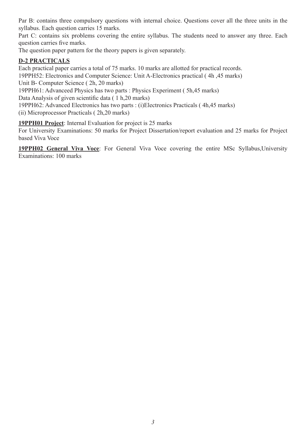Par B: contains three compulsory questions with internal choice. Questions cover all the three units in the syllabus. Each question carries 15 marks.

Part C: contains six problems covering the entire syllabus. The students need to answer any three. Each question carries five marks.

The question paper pattern for the theory papers is given separately.

### **D-2 PRACTICALS**

Each practical paper carries a total of 75 marks. 10 marks are allotted for practical records. 19PPH52: Electronics and Computer Science: Unit A-Electronics practical ( 4h ,45 marks) Unit B- Computer Science ( 2h, 20 marks)

19PPH61: Advanceed Physics has two parts : Physics Experiment ( 5h,45 marks)

Data Analysis of given scientific data ( 1 h,20 marks)

19PPH62: Advanced Electronics has two parts : (i)Electronics Practicals ( 4h,45 marks)

(ii) Microprocessor Practicals ( 2h,20 marks)

**19PPH01 Project**: Internal Evaluation for project is 25 marks

For University Examinations: 50 marks for Project Dissertation/report evaluation and 25 marks for Project based Viva Voce

**19PPH02 General Viva Voce**: For General Viva Voce covering the entire MSc Syllabus,University Examinations: 100 marks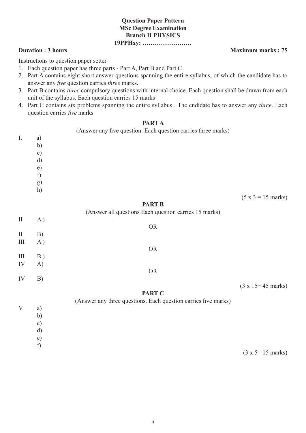### **Question Paper Pattern MSc Degree Examination Branch II PHYSICS 19PPHxy: ……………………**

Instructions to question paper setter

- 1. Each question paper has three parts Part A, Part B and Part C
- 2. Part A contains eight short answer questions spanning the entire syllabus, of which the candidate has to answer any *five* question carries *three* marks.
- 3. Part B contains *three* compulsory questions with internal choice. Each question shall be drawn from each unit of the syllabus. Each question carries 15 marks
- 4. Part C contains six problems spanning the entire syllabus . The cndidate has to answer any *three*. Each question carries *five* marks

#### **PART A**

|              |          | (Answer any five question. Each question carries three marks)  |                                    |
|--------------|----------|----------------------------------------------------------------|------------------------------------|
| I.           | a)       |                                                                |                                    |
|              | b)       |                                                                |                                    |
|              | c)       |                                                                |                                    |
|              | d)       |                                                                |                                    |
|              | e)<br>f) |                                                                |                                    |
|              |          |                                                                |                                    |
|              | g)<br>h) |                                                                |                                    |
|              |          |                                                                | $(5 x 3 = 15 marks)$               |
|              |          | <b>PART B</b>                                                  |                                    |
|              |          | (Answer all questions Each question carries 15 marks)          |                                    |
| $\rm II$     | A)       |                                                                |                                    |
|              |          | ${\sf OR}$                                                     |                                    |
| $\rm II$     | B)       |                                                                |                                    |
| $\rm III$    | A)       |                                                                |                                    |
|              |          | <b>OR</b>                                                      |                                    |
| $\rm III$    | B)       |                                                                |                                    |
| ${\rm IV}$   | A)       | ${\sf OR}$                                                     |                                    |
| IV           | B)       |                                                                |                                    |
|              |          |                                                                | $(3 \times 15 = 45 \text{ marks})$ |
|              |          | <b>PART C</b>                                                  |                                    |
|              |          | (Answer any three questions. Each question carries five marks) |                                    |
| $\mathbf{V}$ | a)       |                                                                |                                    |
|              | b)       |                                                                |                                    |
|              | c)       |                                                                |                                    |
|              | d)       |                                                                |                                    |
|              | e)       |                                                                |                                    |
|              | f)       |                                                                |                                    |

 $(3 x 5 = 15$  marks)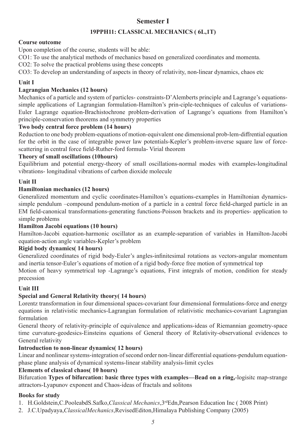## **Semester I**

### **19PPH11: CLASSICAL MECHANICS ( 6L,1T)**

### **Course outcome**

Upon completion of the course, students will be able:

CO1: To use the analytical methods of mechanics based on generalized coordinates and momenta.

CO2: To solve the practical problems using these concepts

CO3: To develop an understanding of aspects in theory of relativity, non-linear dynamics, chaos etc

### **Unit I**

### **Lagrangian Mechanics (12 hours)**

Mechanics of a particle and system of particles- constraints-D'Alemberts principle and Lagrange's equationssimple applications of Lagrangian formulation-Hamilton's prin-ciple-techniques of calculus of variations-Euler Lagrange equation-Brachistochrone problem-derivation of Lagrange's equations from Hamilton's principle-conservation theorems and symmetry properties

### **Two body central force problem (14 hours)**

Reduction to one body problem-equations of motion-equivalent one dimensional prob-lem-diffrential equation for the orbit in the case of integrable power law potentials-Kepler's problem-inverse square law of forcescattering in central force field-Ruther-ford formula- Virial theorem

### **Theory of small oscillations (10hours)**

Equilibrium and potential energy-theory of small oscillations-normal modes with examples-longitudinal vibrations- longitudinal vibrations of carbon dioxide molecule

### **Unit II**

### **Hamiltonian mechanics (12 hours)**

Generalized momentum and cyclic coordinates-Hamilton's equations-examples in Hamiltonian dynamicssimple pendulum –compound pendulum-motion of a particle in a central force field-charged particle in an EM field-canonical transformations-generating functions-Poisson brackets and its properties- application to simple problems

### **Hamilton Jacobi equations (10 hours)**

Hamilton-Jacobi equation-harmonic oscillator as an example-separation of variables in Hamilton-Jacobi equation-action angle variables-Kepler's problem

### **Rigid body dynamics( 14 hours)**

Generalized coordinates of rigid body-Euler's angles-infinitesimal rotations as vectors-angular momentum and inertia tensor-Euler's equations of motion of a rigid body-force free motion of symmetrical top

Motion of heavy symmetrical top -Lagrange's equations, First integrals of motion, condition for steady precession

### **Unit III**

### **Special and General Relativity theory( 14 hours)**

Lorentz transformation in four dimensional spaces-covariant four dimensional formulations-force and energy equations in relativistic mechanics-Lagrangian formulation of relativistic mechanics-covariant Lagrangian formulation

General theory of relativity-principle of equivalence and applications-ideas of Riemannian geometry-space time curvature-geodesics-Einsteins equations of General theory of Relativity-observational evidences to General relativity

### **Introduction to non-linear dynamics( 12 hours)**

Linear and nonlinear systems-integration of second order non-linear differential equations-pendulum equationphase plane analysis of dynamical systems-linear stability analysis-limit cycles

### **Elements of classical chaos( 10 hours)**

Bifurcation **Types of bifurcation: basic three types with examples—Bead on a ring,**-logisitc map-strange attractors-Lyapunov exponent and Chaos-ideas of fractals and solitons

### **Books for study**

- 1. H.Goldstein,C.PooleabdS.Safko,*Classical Mechanics*,3rdEdn,Pearson Education Inc ( 2008 Print)
- 2. J.C.Upadyaya,*ClassicalMechanics*,RevisedEditon,Himalaya Publishing Company (2005)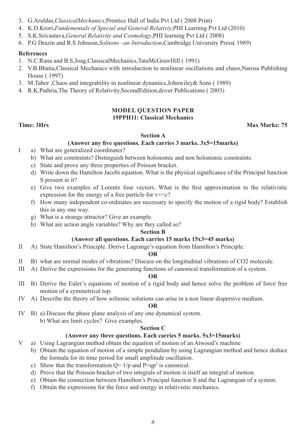- 3. G.Aruldas,*ClassicalMechanics*,Prentice Hall of India Pvt Ltd ( 2008 Print)
- 4. K.D.Krori,*Fundementals of Special and General Relativiy*,PHI Learning Pvt Ltd (2010)
- 5. S.K.Srivastava,*General Relativity and Cosmology*,PHI learning Pvt Ltd ( 2008)
- 6. P.G Drazin and R.S Johnson,*Solitons –an Introduction*,Cambridge University Press( 1989)

### **References**

- 1. N.C.Rana and B.S.Joag,ClassicalMechanics,TataMcGrawHill ( 1991)
- 2. V.B.Bhatia,Classical Mechanics with introduction to nonlinear oscillations and chaos,Narosa Publishing House ( 1997)
- 3. M.Tabor ,Chaos and integrability in nonlinear dynamics,Johnwiley& Sons ( 1989)
- 4. R.K.Pathria,The Theory of Relativity,SecondEdition,dover Publications ( 2003)

### **MODEL QUESTION PAPER 19PPH11: Classical Mechanics**

### **Time: 3Hrs** Max Marks: 75

### **Section A**

### **(Answer any five questions. Each carries 3 marks. 3x5=15marks)**

- I a) What are generalized coordinates?
	- b) What are constraints? Distinguish between holonomic and non holonomic constraints.
	- c) State and prove any three properties of Poisson bracket.
	- d) Write down the Hamilton Jacobi equation. What is the physical significance of the Principal function S present in it?
	- e) Give two examples of Lorentz four vectors. What is the first approximation to the relativistic expression for the energy of a free particle for  $v \ll c$ ?
	- f) How many independent co-ordinates are necessary to specify the motion of a rigid body? Establish this in any one way.
	- g) What is a strange attractor? Give an example.
	- h) What are action angle variables? Why are they called so?

#### **Section B**

### **(Answer all questions. Each carries 15 marks 15x3=45 marks)**

II A) State Hamilton's Principle. Derive Lagrange's equation from Hamilton's Principle.

#### **OR**

- II B) what are normal modes of vibrations? Discuss on the longitudinal vibrations of CO2 molecule.
- III A) Derive the expressions for the generating functions of canonical transformation of a system.

#### **OR**

- III B) Derive the Euler's equations of motion of a rigid body and hence solve the problem of force free motion of a symmetrical top.
- IV A) Describe the theory of how solitonic solutions can arise in a non linear dispersive medium.

#### **OR**

- IV B) a) Discuss the phase plane analysis of any one dynamical system.
	- b) What are limit cycles? Give examples.

#### **Section C**

### **(Answer any three questions. Each carries 5 marks. 5x3=15marks)**

- V a) Using Lagrangian method obtain the equation of motion of an Atwood's machine
	- b) Obtain the equation of motion of a simple pendulum by using Lagrangian method and hence deduce the formula for its time period for small amplitude oscillation.
	- c) Show that the transformation  $Q = 1/p$  and  $P = qp^2$  is canonical.
	- d) Prove that the Poisson bracket of two integrals of motion is itself an integral of motion.
	- e) Obtain the connection between Hamilton's Principal function S and the Lagrangian of a system.
	- f) Obtain the expressions for the force and energy in relativistic mechanics.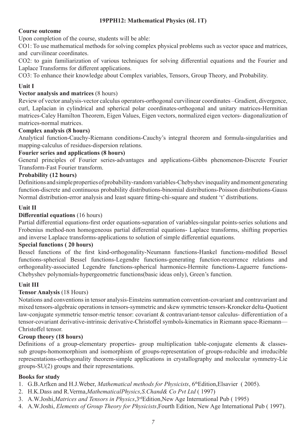### **19PPH12: Mathematical Physics (6L 1T)**

### **Course outcome**

Upon completion of the course, students will be able:

CO1: To use mathematical methods for solving complex physical problems such as vector space and matrices, and curvilinear coordinates.

CO2: to gain familiarization of various techniques for solving differential equations and the Fourier and Laplace Transforms for different applications.

CO3: To enhance their knowledge about Complex variables, Tensors, Group Theory, and Probability.

### **Unit I**

### **Vector analysis and matrices** (8 hours)

Review of vector analysis-vector calculus operators-orthogonal curvilinear coordinates –Gradient, divergence, curl, Laplacian in cylindrical and spherical polar coordinates-orthogonal and unitary matrices-Hermitian matrices-Caley Hamilton Theorem, Eigen Values, Eigen vectors, normalized eigen vectors- diagonalization of matrices-normal matrices.

### **Complex analysis (8 hours)**

Analytical function-Cauchy-Riemann conditions-Cauchy's integral theorem and formula-singularities and mapping-calculus of residues-dispersion relations.

### **Fourier series and applications (8 hours)**

General principles of Fourier series-advantages and applications-Gibbs phenomenon-Discrete Fourier Transform-Fast Fourier transform.

### **Probability (12 hours)**

Definitions and simple properties of probability-random variables-Chebyshev inequality and moment generating function-discrete and continuous probability distributions-binomial distributions-Poisson distributions-Gauss Normal distribution-error analysis and least square fitting-chi-square and student 't' distributions.

### **Unit II**

### **Differential equations** (16 hours)

Partial differential equations-first order equations-separation of variables-singular points-series solutions and Frobenius method-non homogeneous partial differential equations- Laplace transforms, shifting properties and inverse Laplace transforms-applications to solution of simple differential equations.

### **Special functions ( 20 hours)**

Bessel functions of the first kind-orthogonality-Neumann functions-Hankel functions-modified Bessel functions-spherical Bessel functions-Legendre functions-generating function-recurrence relations and orthogonality-associated Legendre functions-spherical harmonics-Hermite functions-Laguerre functions-Chebyshev polynomials-hypergeometric functions(basic ideas only), Green's function.

### **Unit III**

### **Tensor Analysis** (18 Hours)

Notations and conventions in tensor analysis-Einsteins summation convention-covariant and contravariant and mixed tensors-algebraic operations in tensors-symmetric and skew symmetric tensors-Kroneker delta-Quotient law-conjugate symmetric tensor-metric tensor: covariant & contravariant-tensor calculus- differentiation of a tensor-covariant derivative-intrinsic derivative-Christoffel symbols-kinematics in Riemann space-Riemann— Christoffel tensor.

### **Group theory (18 hours)**

Definitions of a group-elementary properties- group multiplication table-conjugate elements & classessub groups-homomorphism and isomorphism of groups-representation of groups-reducible and irreducible representations-orthogonality theorem-simple applications in crystallography and molecular symmetry-Lie groups-SU(2) groups and their representations.

### **Books for study**

- 1. G.B.Arfken and H.J.Weber, *Mathematical methods for Physicists*, 6thEdition,Elsavier ( 2005).
- 2. H.K.Dass and R.Verma,*MathematicalPhysics,S.Chand& Co Pvt Ltd* ( 1997)
- 3. A.W.Joshi,*Matrices and Tensors in Physics*,3rdEdition,New Age International Pub ( 1995)
- 4. A.W.Joshi, *Elements of Group Theory for Physicists*,Fourth Edition, New Age International Pub ( 1997).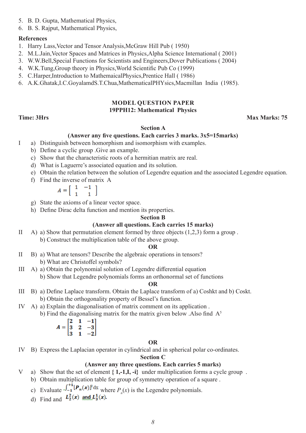- 5. B. D. Gupta, Mathematical Physics,
- 6. B. S. Rajput, Mathematical Physics,

### **References**

- 1. Harry Lass,Vector and Tensor Analysis,McGraw Hill Pub ( 1950)
- 2. M.L.Jain,Vector Spaces and Matrices in Physics,Alpha Science International ( 2001)
- 3. W.W.Bell,Special Functions for Scientists and Engineers,Dover Publications ( 2004)
- 4. W.K.Tung,Group theory in Physics,World Scientific Pub Co (1999)
- 5. C.Harper,Introduction to MathemaicalPhysics,Prentice Hall ( 1986)
- 6. A.K.Ghatak,I.C.GoyalamdS.T.Chua,MathematicalPHYsics,Macmillan India (1985).

### **MODEL QUESTION PAPER 19PPH12: Mathematical Physics**

### **Time: 3Hrs Max Marks: 75**

### **Section A**

### **(Answer any five questions. Each carries 3 marks. 3x5=15marks)**

- I a) Distinguish between homorphism and isomorphism with examples.
	- b) Define a cyclic group .Give an example.
	- c) Show that the characteristic roots of a hermitian matrix are real.
	- d) What is Laguerre's associated equation and its solution.
	- e) Obtain the relation between the solution of Legendre equation and the associated Legendre equation.
	- f) Find the inverse of matrix A

$$
A = \left[ \begin{array}{rr} 1 & -1 \\ 1 & 1 \end{array} \right]
$$

- g) State the axioms of a linear vector space.
- h) Define Dirac delta function and mention its properties.

### **Section B**

### **(Answer all questions. Each carries 15 marks)**

II A) a) Show that permutation element formed by three objects  $(1,2,3)$  form a group. b) Construct the multiplication table of the above group.

#### **OR**

- II B) a) What are tensors? Describe the algebraic operations in tensors? b) What are Christoffel symbols?
- III A) a) Obtain the polynomial solution of Legendre differential equation b) Show that Legendre polynomials forms an orthonormal set of functions

#### **OR**

- III B) a) Define Laplace transform. Obtain the Laplace transform of a) Coshkt and b) Coskt. b) Obtain the orthogonality property of Bessel's function.
- IV A) a) Explain the diagonalisation of matrix comment on its application . b) Find the diagonalising matrix for the matrix given below . Also find  $A<sup>5</sup>$

$$
A = \begin{bmatrix} 2 & 1 & -1 \\ 3 & 2 & -3 \\ 3 & 1 & -2 \end{bmatrix}
$$

### **OR**

IV B) Express the Laplacian operator in cylindrical and in spherical polar co-ordinates.

### **Section C**

### **(Answer any three questions. Each carries 5 marks)**

- V a) Show that the set of element **{ 1,-1,I, -i}** under multiplication forms a cycle group .
	- b) Obtain multiplication table for group of symmetry operation of a square .
- c) Evaluate  $\sqrt{-1}$   $\mathbf{r} \cdot \mathbf{r}$  ax where  $P_n(x)$  is the Legendre polynomials.
	- d) Find and  $L_2^2(x)$  and  $L_3^1(x)$ .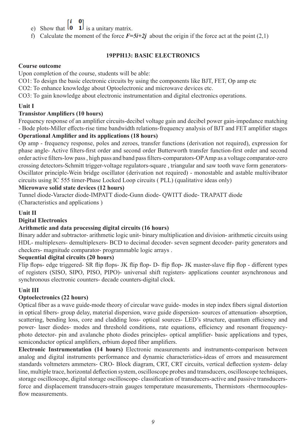01

- e) Show that  $\begin{bmatrix} 0 & 1 \end{bmatrix}$  is a unitary matrix.
- f) Calculate the moment of the force  $\vec{F}=5\vec{i}+2\vec{j}$  about the origin if the force act at the point (2,1)

### **19PPH13: BASIC ELECTRONICS**

### **Course outcome**

Upon completion of the course, students will be able:

CO1: To design the basic electronic circuits by using the components like BJT, FET, Op amp etc

CO2: To enhance knowledge about Optoelectronic and microwave devices etc.

CO3: To gain knowledge about electronic instrumentation and digital electronics operations.

### **Unit I**

### **Transistor Amplifiers (10 hours)**

Frequency response of an amplifier circuits-decibel voltage gain and decibel power gain-impedance matching - Bode plots-Miller effects-rise time bandwidth relations-frequency analysis of BJT and FET amplifier stages

### **Operational Amplifier and its applications (18 hours)**

Op amp - frequency response, poles and zeroes, transfer functions (derivation not required), expression for phase angle- Active filters-first order and second order Butterworth transfer function-first order and second order active filters-low pass , high pass and band pass filters-comparators-OP Amp as a voltage comparator-zero crossing detectors-Schmitt trigger-voltage regulators-square , triangular and saw tooth wave form generators-Oscillator principle-Wein bridge oscillator (derivation not required) - monostable and astable multivibrator circuits using IC 555 timer-Phase Locked Loop circuits ( PLL) (qualitative ideas only)

### **Microwave solid state devices (12 hours)**

Tunnel diode-Varacter diode-IMPATT diode-Gunn diode- QWITT diode- TRAPATT diode (Characteristics and applications )

### **Unit II**

### **Digital Electronics**

### **Arithmetic and data processing digital circuits (16 hours)**

Binary adder and subtractor- arithmetic logic unit- binary multiplication and division- arithmetic circuits using HDL- multiplexers- demultiplexers- BCD to decimal decoder- seven segment decoder- parity generators and checkers- magnitude comparator- programmable logic arrays .

### **Sequential digital circuits (20 hours)**

Flip flops- edge triggered- SR flip flops- JK flip flop- D- flip flop- JK master-slave flip flop - different types of registers (SISO, SIPO, PISO, PIPO)- universal shift registers- applications counter asynchronous and synchronous electronic counters- decade counters-digital clock.

### **Unit III**

### **Optoelectronics (22 hours)**

Optical fiber as a wave guide-mode theory of circular wave guide- modes in step index fibers signal distortion in optical fibers- group delay, material dispersion, wave guide dispersion- sources of attenuation- absorption, scattering, bending loss, core and cladding loss- optical sources- LED's structure, quantum efficiency and power- laser diodes- modes and threshold conditions, rate equations, efficiency and resonant frequencyphoto detector- pin and avalanche photo diodes principles- optical amplifier- basic applications and types, semiconductor optical amplifiers, erbium doped fiber amplifiers.

**Electronic Instrumentation (14 hours)** Electronic measurements and instruments-comparison between analog and digital instruments performance and dynamic characteristics-ideas of errors and measurement standards voltmeters ammeters- CRO- Block diagram, CRT, CRT circuits, vertical deflection system- delay line, multiple trace, horizontal deflection system, oscilloscope probes and transducers, oscilloscope techniques, storage oscilloscope, digital storage oscilloscope- classification of transducers-active and passive transducersforce and displacement transducers-strain gauges temperature measurements, Thermistors -thermocouplesflow measurements.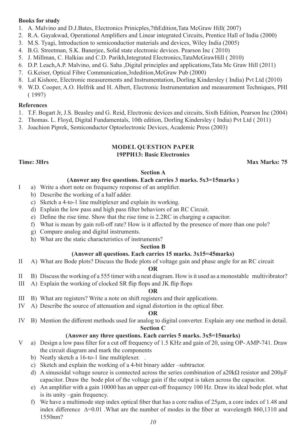### **Books for study**

- 1. A. Malvino and D.J.Bates, Electronics Prinicples,7thEdition,Tata McGraw Hill( 2007)
- 2. R.A. Gayakwad, Operational Amplifiers and Linear integrated Circuits, Prentice Hall of India (2000)
- 3. M.S. Tyagi, Introduction to semiconductior materials and devices, Wiley India (2005)
- 4. B.G. Streetman, S.K. Banerjee, Solid state electronic devices. Pearson Inc ( 2010)
- 5. J. Millman, C. Halkias and C.D. Parikh,Integrated Electronics,TataMcGrawHill ( 2010)
- 6. D.P. Leach,A.P. Malvino, and G. Saha ,Digital principles and applications,Tata Mc Graw Hill (2011)
- 7. G.Keiser, Optical Fibre Communication,3rdedition,McGraw Pub (2000)
- 8. Lal Kishore, Electronic measurements and Instrumentation, Dorling Kindersley ( India) Pvt Ltd (2010)
- 9. W.D. Cooper, A.O. Helfrik and H. Albert, Electronic Instrumentation and measurement Techniques, PHI ( 1997)

### **References**

- 1. T.F. Bogart Jr, J.S. Beasley and G. Reid, Electronic devices and circuits, Sixth Edition, Pearson Inc (2004)
- 2. Thomas. L. Floyd, Digital Fundamentals, 10th edition, Dorling Kindersley ( India) Pvt Ltd ( 2011)
- 3. Joachion Piprek, Semiconductor Optoelectronic Devices, Academic Press (2003)

### **MODEL QUESTION PAPER 19PPH13: Basic Electronics**

**Time: 3Hrs** Max Marks: 75

### **Section A**

### **(Answer any five questions. Each carries 3 marks. 5x3=15marks )**

- I a) Write a short note on frequency response of an amplifier.
	- b) Describe the working of a half adder.
	- c) Sketch a 4-to-1 line multiplexer and explain its working.
	- d) Explain the low pass and high pass filter behaviors of an RC Circuit.
	- e) Define the rise time. Show that the rise time is 2.2RC in charging a capacitor.
	- f) What is mean by gain roll-off rate? How is it affected by the presence of more than one pole?
	- g) Compare analog and digital instruments.
	- h) What are the static characteristics of instruments?

### **Section B**

### **(Answer all questions. Each carries 15 marks. 3x15=45marks)**

II A) What are Bode plots? Discuss the Bode plots of voltage gain and phase angle for an RC circuit

### **OR**

- II B) Discuss the working of a 555 timer with a neat diagram. How is it used as a monostable multivibrator?
- III A) Explain the working of clocked SR flip flops and JK flip flops

### **OR**

- III B) What are registers? Write a note on shift registers and their applications.
- IV A) Describe the source of attenuation and signal distortion in the optical fiber.

#### **OR**

IV B) Mention the different methods used for analog to digital converter. Explain any one method in detail.

### **Section C**

### **(Answer any three questions. Each carries 5 marks. 3x5=15marks)**

- V a) Design a low pass filter for a cut off frequency of 1.5 KHz and gain of 20, using OP- AMP-741. Draw the circuit diagram and mark the components
	- b) Neatly sketch a 16-to-1 line multiplexer. .
	- c) Sketch and explain the working of a 4-bit binary adder –subtractor.
	- d) A sinusoidal voltage source is connected across the series combination of a20k $\Omega$  resistor and 200 $\mu$ F capacitor. Draw the bode plot of the voltage gain if the output is taken across the capacitor.
	- e) An amplifier with a gain 10000 has an upper cut-off frequency 100 Hz. Draw its ideal bode plot. what is its unity –gain frequency.
	- f) We have a multimode step index optical fiber that has a core radius of 25µm, a core index of 1.48 and index difference ∆=0.01 .What are the number of modes in the fiber at wavelength 860,1310 and 1550nm?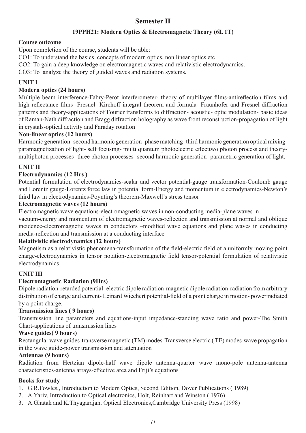### **Semester II**

### **19PPH21: Modern Optics & Electromagnetic Theory (6L 1T)**

### **Course outcome**

Upon completion of the course, students will be able:

CO1: To understand the basics concepts of modern optics, non linear optics etc

CO2: To gain a deep knowledge on electromagnetic waves and relativistic electrodynamics.

CO3: To analyze the theory of guided waves and radiation systems.

### **UNIT l**

### **Modern optics (24 hours)**

Multiple beam interference-Fabry-Perot interferometer- theory of multilayer films-antireflection films and high reflectance films -Fresnel- Kirchoff integral theorem and formula- Fraunhofer and Fresnel diffraction patterns and theory-applications of Fourier transforms to diffraction- acoustic- optic modulation- basic ideas of Raman-Nath diffraction and Bragg diffraction holography as wave front reconstruction-propagation of light in crystals-optical activity and Faraday rotation

### **Non-linear optics (12 hours)**

Harmonic generation- second harmonic generation- phase matching- third harmonic generation optical mixingparamagnetization of light- self focusing- multi quantum photoelectric effecttwo photon process and theorymultiphoton processes- three photon processes- second harmonic generation- parametric generation of light.

### **UNIT II**

### **Electrodynamics (12 Hrs )**

Potential formulation of electrodynamics-scalar and vector potential-gauge transformation-Coulomb gauge and Lorentz gauge-Lorentz force law in potential form-Energy and momentum in electrodynamics-Newton's third law in electrodynamics-Poynting's theorem-Maxwell's stress tensor

### **Electromagnetic waves (12 hours)**

Electromagnetic wave equations-electromagnetic waves in non-conducting media-plane waves in

vacuum-energy and momentum of electromagnetic waves-reflection and transmission at normal and oblique incidence-electromagnetic waves in conductors –modified wave equations and plane waves in conducting media-reflection and transmission at a conducting interface

### **Relativistic electrodynamics (12 hours)**

Magnetism as a relativistic phenomena-transformation of the field-electric field of a uniformly moving point charge-electrodynamics in tensor notation-electromagnetic field tensor-potential formulation of relativistic electrodynamics

### **UNIT III**

### **Electromagnetic Radiation (9Hrs)**

Dipole radiation-retarded potential- electric dipole radiation-magnetic dipole radiation-radiation from arbitrary distribution of charge and current- Leinard Wiechert potential-field of a point charge in motion- power radiated by a point charge.

### **Transmission lines ( 9 hours)**

Transmission line parameters and equations-input impedance-standing wave ratio and power-The Smith Chart-applications of transmission lines

### **Wave guides( 9 hours)**

Rectangular wave guides-transverse magnetic (TM) modes-Transverse electric ( TE) modes-wave propagation in the wave guide-power transmission and attenuation

### **Antennas (9 hours)**

Radiation from Hertzian dipole-half wave dipole antenna-quarter wave mono-pole antenna-antenna characteristics-antenna arrays-effective area and Friji's equations

### **Books for study**

- 1. G.R.Fowles,, Introduction to Modern Optics, Second Edition, Dover Publications ( 1989)
- 2. A.Yariv, Introduction to Optical electronics, Holt, Reinhart and Winston ( 1976)
- 3. A.Ghatak and K.Thyagarajan, Optical Electronics,Cambridge University Press (1998)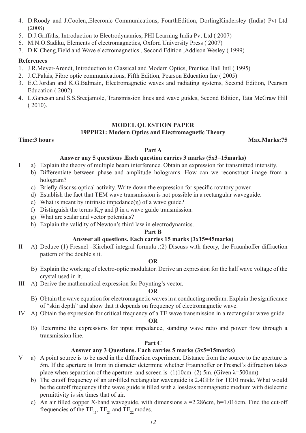- 4. D.Roody and J.Coolen,,Elecronic Communications, FourthEdition, DorlingKindersley (India) Pvt Ltd (2008)
- 5. D.J.Griffiths, Introduction to Electrodynamics, PHI Learning India Pvt Ltd ( 2007)
- 6. M.N.O.Sadiku, Elements of electromagnetics, Oxford University Press ( 2007)
- 7. D.K.Cheng,Field and Wave electromagnetics , Second Edition ,Addison Wesley ( 1999)

### **References**

- 1. J.R.Meyer-Arendt, Introduction to Classical and Modern Optics, Prentice Hall Intl ( 1995)
- 2. J.C.Palais, Fibre optic communications, Fifth Edition, Pearson Education Inc ( 2005)
- 3. E.C.Jordan and K.G.Balmain, Electromagnetic waves and radiating systems, Second Edition, Pearson Education ( 2002)
- 4. L.Ganesan and S.S.Sreejamole, Transmission lines and wave guides, Second Edition, Tata McGraw Hill ( 2010).

### **MODEL QUESTION PAPER**

### **19PPH21: Modern Optics and Electromagnetic Theory**

**Time:3 hours Max.Marks:75** 

### **Part A**

### **Answer any 5 questions .Each question carries 3 marks (5x3=15marks)**

- I a) Explain the theory of multiple beam interference. Obtain an expression for transmitted intensity.
	- b) Differentiate between phase and amplitude holograms. How can we reconstruct image from a hologram?
	- c) Briefly discuss optical activity. Write down the expression for specific rotatory power.
	- d) Establish the fact that TEM wave transmission is not possible in a rectangular waveguide.
	- e) What is meant by intrinsic impedance(η) of a wave guide?
	- f) Distinguish the terms K, $\gamma$  and  $\beta$  in a wave guide transmission.
	- g) What are scalar and vector potentials?
	- h) Explain the validity of Newton's third law in electrodynamics.

### **Part B**

### **Answer all questions. Each carries 15 marks (3x15=45marks)**

II A) Deduce (1) Fresnel –Kirchoff integral formula .(2) Discuss with theory, the Fraunhoffer diffraction pattern of the double slit.

### **OR**

- B) Explain the working of electro-optic modulator. Derive an expression for the half wave voltage of the crystal used in it.
- III A) Derive the mathematical expression for Poynting's vector.

### **OR**

- B) Obtain the wave equation for electromagnetic waves in a conducting medium. Explain the significance of "skin depth" and show that it depends on frequency of electromagnetic wave.
- IV A) Obtain the expression for critical frequency of a TE wave transmission in a rectangular wave guide.

#### **OR**

B) Determine the expressions for input impedance, standing wave ratio and power flow through a transmission line.

### **Part C**

### **Answer any 3 Questions. Each carries 5 marks (3x5=15marks)**

- V a) A point source is to be used in the diffraction experiment. Distance from the source to the aperture is 5m. If the aperture is 1mm in diameter determine whether Fraunhoffer or Fresnel's diffraction takes place when separation of the aperture and screen is (1)10cm (2) 5m. (Given  $\lambda$ =500nm)
	- b) The cutoff frequency of an air-filled rectangular waveguide is 2.4GHz for TE10 mode. What would be the cutoff frequency if the wave guide is filled with a lossless nonmagnetic medium with dielectric permittivity is six times that of air.
	- c) An air filled copper X-band waveguide, with dimensions a  $=$  2.286cm, b=1.016cm. Find the cut-off frequencies of the TE<sub>11</sub>, TE<sub>21</sub> and TE<sub>22</sub> modes.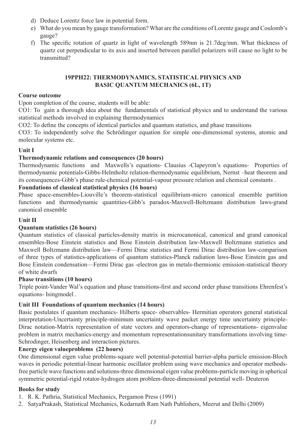- d) Deduce Lorentz force law in potential form.
- e) What do you mean by gauge transformation? What are the conditions of Lorentz gauge and Coulomb's gauge?
- f) The specific rotation of quartz in light of wavelength 589nm is 21.7deg/mm. What thickness of quartz cut perpendicular to its axis and inserted between parallel polarizers will cause no light to be transmitted?

### **19PPH22: THERMODYNAMICS, STATISTICAL PHYSICS AND BASIC QUANTUM MECHANICS (6L, 1T)**

### **Course outcome**

Upon completion of the course, students will be able:

CO1: To gain a thorough idea about the fundamentals of statistical physics and to understand the various statistical methods involved in explaining thermodynamics

CO2: To define the concepts of identical particles and quantum statistics, and phase transitions

CO3: To independently solve the Schrödinger equation for simple one-dimensional systems, atomic and molecular systems etc.

### **Unit I**

### **Thermodynamic relations and consequences (20 hours)**

Thermodynamic functions and Maxwells's equations- Clausius -Clapeyron's equations- Properties of thermodynamic potentials-Gibbs-Helmholtz relation-thermodynamic equilibrium, Nernst –heat theorem and its consequences-Gibb's phase rule-chemical potential-vapour pressure relation and chemical constants .

### **Foundations of classical statistical physics (16 hours)**

Phase space-ensembles-Liouville's theorem-statistical equilibrium-micro canonical ensemble partition functions and thermodynamic quantities-Gibb's paradox-Maxwell-Boltzmann distribution laws-grand canonical ensemble

### **Unit II**

### **Quantum statistics (26 hours)**

Quantum statistics of classical particles-density matrix in microcanonical, canonical and grand canonical ensembles-Bose Einstein statistics and Bose Einstein distribution law-Maxwell Boltzmann statistics and Maxwell Boltzmann distribution law—Fermi Dirac statistics and Fermi Dirac distribution law-comparison of three types of statistics-applications of quantum statistics-Planck radiation laws-Bose Einstein gas and Bose Einstein condensation—Fermi Dirac gas -electron gas in metals-thermionic emission-statistical theory of white dwarfs

### **Phase transitions (10 hours)**

Triple point-Vander Wal's equation and phase transitions-first and second order phase transitions Ehrenfest's equations- Isingmodel .

### **Unit III Foundations of quantum mechanics (14 hours)**

Basic postulates if quantum mechanics- Hilberts space- observables- Hermitian operators general statistical interpretation-Uncertainty principle-minimum uncertainty wave packet energy time uncertainty principle-Dirac notation-Matrix representation of state vectors and operators-change of representations- eigenvalue problem in matrix mechanics-energy and momentum representationsunitary transformations involving time-Schrodinger, Heisenberg and interaction pictures.

### **Energy eigen valueproblems (22 hours)**

One dimensional eigen value problems-square well potential-potential barrier-alpha particle emission-Bloch waves in periodic potential-linear harmonic oscillator problem using wave mechanics and operator methodsfree particle wave functions and solutions-three dimensional eigen value problems-particle moving in spherical symmetric potential-rigid rotator-hydrogen atom problem-three-dimensional potential well- Deuteron

### **Books for study**

- 1. R. K. Pathria, Statistical Mechanics, Pergamon Press (1991)
- 2. SatyaPrakash, Statistical Mechanics, Kedarnath Ram Nath Publishers, Meerut and Delhi (2009)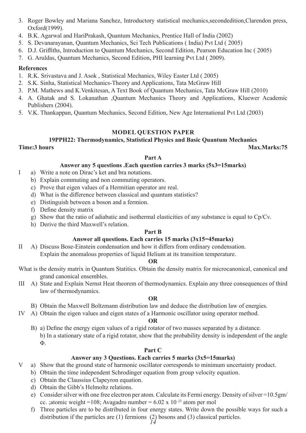- 3. Roger Bowley and Mariana Sanchez, Introductory statistical mechanics,secondedition,Clarendon press, Oxford(1999).
- 4. B.K. Agarwal and HariPrakash, Quantum Mechanics, Prentice Hall of India (2002)
- 5. S. Devanarayanan, Quantum Mechanics, Sci Tech Publications ( India) Pvt Ltd ( 2005)
- 6. D.J. Griffiths, Introduction to Quantum Mechanics, Second Edition, Pearson Education Inc ( 2005)
- 7. G. Aruldas, Quantum Mechanics, Second Edition, PHI learning Pvt Ltd ( 2009).

### **References**

- 1. R.K. Srivastava and J. Asok , Statistical Mechanics, Wiley Easter Ltd ( 2005)
- 2. S.K. Sinha, Statistical Mechanics-Theory and Applications, Tata McGraw Hill
- 3. P.M. Mathews and K.Venkitesan, A Text Book of Quantum Mechanics, Tata McGraw Hill (2010)
- 4. A. Ghatak and S. Lokanathan ,Quantum Mechanics Theory and Applications, Kluewer Academic Publishers (2004).
- 5. V.K. Thankappan, Quantum Mechanics, Second Edition, New Age International Pvt Ltd (2003)

### **MODEL QUESTION PAPER**

## **19PPH22: Thermodynamics, Statistical Physics and Basic Quantum Mechanics**

**Time:3 hours Max.Marks:75**

#### **Part A**

### **Answer any 5 questions .Each question carries 3 marks (5x3=15marks)**

- I a) Write a note on Dirac's ket and bra notations.
	- b) Explain commuting and non commuting operators.
	- c) Prove that eigen values of a Hermitian operator are real.
	- d) What is the difference between classical and quantum statistics?
	- e) Distinguish between a boson and a fermion.
	- f) Define density matrix
	- g) Show that the ratio of adiabatic and isothermal elasticities of any substance is equal to Cp/Cv.
	- h) Derive the third Maxwell's relation.

### **Part B**

### **Answer all questions. Each carries 15 marks (3x15=45marks)**

II A) Discuss Bose-Einstein condensation and how it differs from ordinary condensation. Explain the anomalous properties of liquid Helium at its transition temperature.

### **OR**

- What is the density matrix in Quantum Statitics. Obtain the density matrix for microcanonical, canonical and grand canonical ensembles.
- III A) State and Explain Nernst Heat theorem of thermodynamics. Explain any three consequences of third law of thermodynamics.

### **OR**

- B) Obtain the Maxwell Boltzmann distribution law and deduce the distribution law of energies.
- IV A) Obtain the eigen values and eigen states of a Harmonic oscillator using operator method.

#### **OR**

B) a) Define the energy eigen values of a rigid rotator of two masses separated by a distance. b) In a stationary state of a rigid rotator, show that the probability density is independent of the angle Φ.

### **Part C**

### **Answer any 3 Questions. Each carries 5 marks (3x5=15marks)**

- V a) Show that the ground state of harmonic oscillator corresponds to minimum uncertainty product.
	- b) Obtain the time independent Schrodinger equation from group velocity equation.
	- c) Obtain the Claussius Clapeyron equation.
	- d) Obtain the Gibb's Helmoltz relations.
	- e) Consider silver with one free electron per atom. Calculate its Fermi energy. Density of silver =10.5gm/ cc. ; atomic weight =108; Avagadro number =  $6.02 \times 10^{23}$  atom per mol
	- f) Three particles are to be distributed in four energy states. Write down the possible ways for such a distribution if the particles are (1) fermions (2) bosons and (3) classical particles.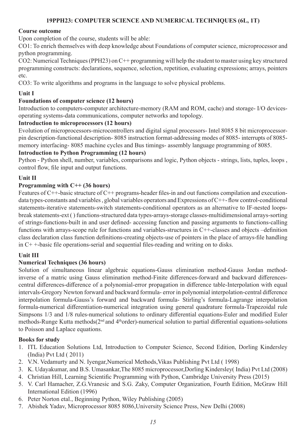### **19PPH23: COMPUTER SCIENCE AND NUMERICAL TECHNIQUES (6L, 1T)**

### **Course outcome**

Upon completion of the course, students will be able:

CO1: To enrich themselves with deep knowledge about Foundations of computer science, microprocessor and python programming.

CO2: Numerical Techniques (PPH23) on C++ programming will help the student to master using key structured programming constructs: declarations, sequence, selection, repetition, evaluating expressions; arrays, pointers etc.

CO3: To write algorithms and programs in the language to solve physical problems.

### **Unit I**

### **Foundations of computer science (12 hours)**

Introduction to computers-computer architecture-memory (RAM and ROM, cache) and storage- I/O devicesoperating systems-data communications, computer networks and topology.

#### **Introduction to microprocessors (12 hours)**

Evolution of microprocessors-microcontrollers and digital signal processors- Intel 8085 8 bit microprocessorpin description-functional description- 8085 instruction format-addressing modes of 8085- interrupts of 8085 memory interfacing- 8085 machine cycles and Bus timings- assembly language programming of 8085.

#### **Introduction to Python Programming (12 hours)**

Python - Python shell, number, variables, comparisons and logic, Python objects - strings, lists, tuples, loops , control flow, file input and output functions.

### **Unit II**

#### **Programming with C++ (36 hours)**

Features of C++-basic structure of C++ programs-header files-in and out functions compilation and executiondata types-constants and variables , global variables operators and Expressions of C++- flow control-conditional statements-iterative statements-switch statements-conditional operators as an alternative to IF-nested loopsbreak statements-ext ( ) functions-structured data types-arrays-storage classes-multidimensional arrays-sorting of strings-functions-built in and user defined- accessing function and passing arguments to functions-calling functions with arrays-scope rule for functions and variables-structures in C++-classes and objects –definition class declaration class function definitions-creating objects-use of pointers in the place of arrays-file handling in C+ +-basic file operations-serial and sequential files-reading and writing on to disks.

### **Unit III**

### **Numerical Techniques (36 hours)**

Solution of simultaneous linear algebraic equations-Gauss elimination method-Gauss Jordan methodinverse of a matric using Gauss elimination method-Finite differences-forward and backward differencescentral differences-difference of a polynomial-error propagation in difference table-Interpolation with equal intervals-Gregory Newton forward and backward formula- error in polynomial interpolation-central difference interpolation formula-Gauss's forward and backward formula- Stirling's formula-Lagrange interpolation formula-numerical differentiation-numerical integration using general quadrature formula-Trapezoidal rule Simpsons 1/3 and 1/8 rules-numerical solutions to ordinary differential equations-Euler and modified Euler methods-Runge Kutta methods(2nd and 4thorder)-numerical solution to partial differential equations-solutions to Poisson and Laplace equations.

### **Books for study**

- 1. ITL Education Solutions Ltd, Introduction to Computer Science, Second Edition, Dorling Kindersley (India) Pvt Ltd ( 2011)
- 2. V.N. Vedamurty and N. Iyengar,Numerical Methods,Vikas Publishing Pvt Ltd ( 1998)
- 3. K. Udayakumar, and B.S. Umasankar,The 8085 microprocessor,Dorling Kindersley( India) Pvt Ltd (2008)
- 4. Christian Hill, Learning Scientific Programming with Python, Cambridge University Press (2015)
- 5. V. Carl Hamacher, Z.G.Vranesic and S.G. Zaky, Computer Organization, Fourth Edition, McGraw Hill International Edition (1996)
- 6. Peter Norton etal., Beginning Python, Wiley Publishing (2005)
- 7. Abishek Yadav, Microprocessor 8085 8086,University Science Press, New Delhi (2008)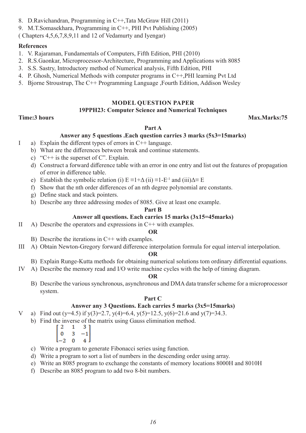- 8. D.Ravichandran, Programming in C++,Tata McGraw Hill (2011)
- 9. M.T.Somasekhara, Programming in C++, PHI Pvt Publishing (2005)

( Chapters 4,5,6,7,8,9,11 and 12 of Vedamurty and Iyengar)

### **References**

- 1. V. Rajaraman, Fundamentals of Computers, Fifth Edition, PHI (2010)
- 2. R.S.Gaonkar, Microprocessor-Architecture, Programming and Applications with 8085
- 3. S.S. Sastry, Introductory method of Numerical analysis, Fifth Edition, PHI
- 4. P. Ghosh, Numerical Methods with computer programs in C++,PHI learning Pvt Ltd
- 5. Bjorne Stroustrup, The C++ Programming Language ,Fourth Edition, Addison Wesley

### **MODEL QUESTION PAPER**

### **19PPH23: Computer Science and Numerical Techniques**

### **Time:3 hours Max.Marks:75**

### **Part A**

### **Answer any 5 questions .Each question carries 3 marks (5x3=15marks)**

- I a) Explain the different types of errors in C++ language.
	- b) What are the differences between break and continue statements.
	- c) "C++ is the superset of C". Explain.
	- d) Construct a forward difference table with an error in one entry and list out the features of propagation of error in difference table.
	- e) Establish the symbolic relation (i)  $E = 1 + \Delta$  (ii)  $\equiv 1 E^{-1}$  and (iii) $\Delta \equiv E$
	- f) Show that the nth order differences of an nth degree polynomial are constants.
	- g) Define stack and stack pointers.
	- h) Describe any three addressing modes of 8085. Give at least one example.

#### **Part B**

### **Answer all questions. Each carries 15 marks (3x15=45marks)**

II A) Describe the operators and expressions in C++ with examples.

### **OR**

- B) Describe the iterations in C++ with examples.
- III A) Obtain Newton-Gregory forward difference interpolation formula for equal interval interpolation.

### **OR**

- B) Explain Runge-Kutta methods for obtaining numerical solutions tom ordinary differential equations.
- IV A) Describe the memory read and I/O write machine cycles with the help of timing diagram.

### **OR**

B) Describe the various synchronous, asynchronous and DMA data transfer scheme for a microprocessor system.

### **Part C**

### **Answer any 3 Questions. Each carries 5 marks (3x5=15marks)**

- V a) Find out (y=4.5) if y(3)=2.7, y(4)=6.4, y(5)=12.5, y(6)=21.6 and y(7)=34.3.
	- b) Find the inverse of the matrix using Gauss elimination method.

| -2               |   |                                              |
|------------------|---|----------------------------------------------|
| $\parallel$<br>0 | 3 | $\begin{bmatrix} 3 \\ -1 \\ 4 \end{bmatrix}$ |
| -2               | O |                                              |

- c) Write a program to generate Fibonacci series using function.
- d) Write a program to sort a list of numbers in the descending order using array.
- e) Write an 8085 program to exchange the constants of memory locations 8000H and 8010H
- f) Describe an 8085 program to add two 8-bit numbers.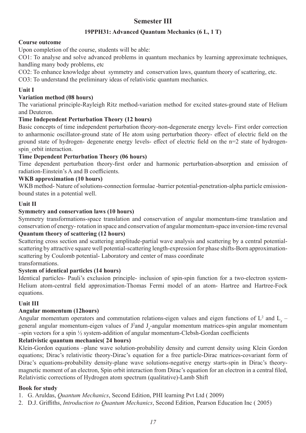## **Semester III**

### **19PPH31: Advanced Quantum Mechanics (6 L, 1 T)**

### **Course outcome**

Upon completion of the course, students will be able:

CO1: To analyse and solve advanced problems in quantum mechanics by learning approximate techniques, handling many body problems, etc

CO2: To enhance knowledge about symmetry and conservation laws, quantum theory of scattering, etc.

CO3: To understand the preliminary ideas of relativistic quantum mechanics.

### **Unit I**

### **Variation method (08 hours)**

The variational principle-Rayleigh Ritz method-variation method for excited states-ground state of Helium and Deuteron.

### **Time Independent Perturbation Theory (12 hours)**

Basic concepts of time independent perturbation theory-non-degenerate energy levels- First order correction to anharmonic oscillator-ground state of He atom using perturbation theory- effect of electric field on the ground state of hydrogen- degenerate energy levels- effect of electric field on the n=2 state of hydrogenspin\_orbit interaction.

### **Time Dependent Perturbation Theory (06 hours)**

Time dependent perturbation theory-first order and harmonic perturbation-absorption and emission of radiation-Einstein's A and B coefficients.

### **WKB approximation (10 hours)**

WKB method- Nature of solutions-connection formulae -barrier potential-penetration-alpha particle emissionbound states in a potential well.

### **Unit II**

### **Symmetry and conservation laws (10 hours)**

Symmetry transformations-space translation and conservation of angular momentum-time translation and conservation of energy- rotation in space and conservation of angular momentum-space inversion-time reversal

### **Quantum theory of scattering (12 hours)**

Scattering cross section and scattering amplitude-partial wave analysis and scattering by a central potentialscattering by attractive square well potential-scattering length-expression for phase shifts-Born approximationscattering by Coulomb potential- Laboratory and center of mass coordinate transformations.

### **System of identical particles (14 hours)**

Identical particles- Pauli's exclusion principle- inclusion of spin-spin function for a two-electron system-Helium atom-central field approximation-Thomas Fermi model of an atom- Hartree and Hartree-Fock equations.

### **Unit III**

### **Angular momentum (12hours)**

Angular momentum operators and commutation relations-eigen values and eigen functions of  $L^2$  and  $L_z$  – general angular momentum-eigen values of  $J^2$ and  $J_z$ -angular momentum matrices-spin angular momentum  $-\text{spin}$  vectors for a spin  $\frac{1}{2}$  system-addition of angular momentum-Clebsh-Gordan coefficients

### **Relativistic quantum mechanics( 24 hours)**

Klein-Gordon equations –plane wave solution-probability density and current density using Klein Gordon equations; Dirac's relativistic theory-Dirac's equation for a free particle-Dirac matrices-covariant form of Dirac's equations-probability density-plane wave solutions-negative energy starts-spin in Dirac's theorymagnetic moment of an electron, Spin orbit interaction from Dirac's equation for an electron in a central filed, Relativistic corrections of Hydrogen atom spectrum (qualitative)-Lamb Shift

### **Book for study**

1. G. Aruldas, *Quantum Mechanics*, Second Edition, PHI learning Pvt Ltd ( 2009)

2. D.J. Griffiths, *Introduction to Quantum Mechanics*, Second Edition, Pearson Education Inc ( 2005)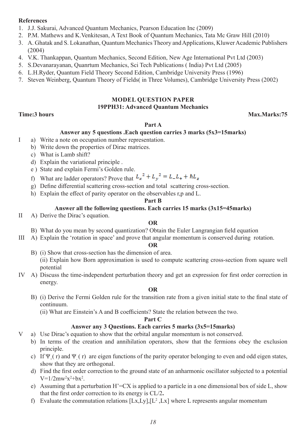### **References**

- 1. J.J. Sakurai, Advanced Quantum Mechanics, Pearson Education Inc (2009)
- 2. P.M. Mathews and K.Venkitesan, A Text Book of Quantum Mechanics, Tata Mc Graw Hill (2010)
- 3. A. Ghatak and S. Lokanathan, Quantum Mechanics Theory and Applications, Kluwer Academic Publishers (2004)
- 4. V.K. Thankappan, Quantum Mechanics, Second Edition, New Age International Pvt Ltd (2003)
- 5. S.Devanarayanan, Quanrtum Mechanics, Sci Tech Publications ( India) Pvt Ltd (2005)
- 6. L.H.Ryder, Quantum Field Theory Second Edition, Cambridge University Press (1996)
- 7. Steven Weinberg, Quantum Theory of Fields( in Three Volumes), Cambridge University Press (2002)

### **MODEL QUESTION PAPER 19PPH31: Advanced Quantum Mechanics**

### **Time:3 hours Max.Marks:75**

### **Part A**

### **Answer any 5 questions .Each question carries 3 marks (5x3=15marks)**

- I a) Write a note on occupation number representation.
	- b) Write down the properties of Dirac matrices.
	- c) What is Lamb shift?
	- d) Explain the variational principle .
	- e ) State and explain Fermi's Golden rule.
	- f) What are ladder operators? Prove that  $L_x^2 + L_y^2 = L_L + \hbar L_z$
	- g) Define differential scattering cross-section and total scattering cross-section.
	- h) Explain the effect of parity operator on the observables r,p and L.

### **Part B**

### **Answer all the following questions. Each carries 15 marks (3x15=45marks)**

II A) Derive the Dirac's equation.

### **OR**

- B) What do you mean by second quantization? Obtain the Euler Langrangian field equation
- III A) Explain the 'rotation in space' and prove that angular momentum is conserved during rotation.

#### **OR**

- B) (i) Show that cross-section has the dimension of area. (ii) Explain how Born approximation is used to compute scattering cross-section from square well potential
- IV A) Discuss the time-independent perturbation theory and get an expression for first order correction in energy.

### **OR**

B) (i) Derive the Fermi Golden rule for the transition rate from a given initial state to the final state of continuum.

(ii) What are Einstein's A and B coefficients? State the relation between the two.

#### **Part C**

### **Answer any 3 Questions. Each carries 5 marks (3x5=15marks)**

- V a) Use Dirac's equation to show that the orbital angular momentum is not conserved.
	- b) In terms of the creation and annihilation operators, show that the fermions obey the exclusion principle.
	- c) If  $\Psi_+$  (r) and  $\Psi_-$  (r) are eigen functions of the parity operator belonging to even and odd eigen states, show that they are orthogonal.
	- d) Find the first order correction to the ground state of an anharmonic oscillator subjected to a potential  $V = 1/2$ mw<sup>2</sup>x<sup>2</sup>+bx<sup>2</sup>.
	- e) Assuming that a perturbation  $H' = CX$  is applied to a particle in a one dimensional box of side L, show that the first order correction to its energy is CL/2**.**
	- f) Evaluate the commutation relations  $[Lx, Ly], [L^2, Lx]$  where L represents angular momentum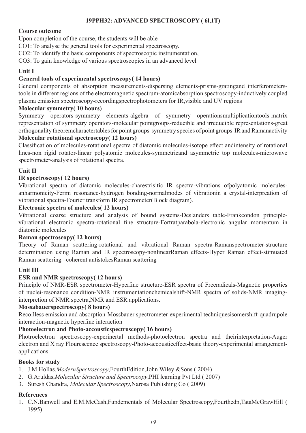### **19PPH32: ADVANCED SPECTROSCOPY ( 6l,1T)**

### **Course outcome**

Upon completion of the course, the students will be able

CO1: To analyse the general tools for experimental spectroscopy.

CO2: To identify the basic components of spectroscopic instrumentation,

CO3: To gain knowledge of various spectroscopies in an advanced level

### **Unit I**

### **General tools of experimental spectroscopy( 14 hours)**

General components of absorption measurements-dispersing elements-prisms-gratingand interferometerstools in different regions of the electromagnetic spectrum-atomicabsorption spectroscopy-inductively coupled plasma emission spectroscopy-recordingspectrophotometers for IR,visible and UV regions

### **Molecular symmetry( 10 hours)**

Symmetry operators-symmetry elements-algebra of symmetry operationsmultiplicationtools-matrix representation of symmetry operators-molecular pointgroups-reducible and irreducible representations-great orthogonality theoremcharactertables for point groups-symmetry species of point groups-IR and Ramanactivity

### **Molecular rotational spectroscopy( 12 hours)**

Classification of molecules-rotational spectra of diatomic molecules-isotope effect andintensity of rotational lines-non rigid rotator-linear polyatomic molecules-symmetricand asymmetric top molecules-microwave spectrometer-analysis of rotational spectra.

### **Unit II**

### **IR spectroscopy( 12 hours)**

Vibrational spectra of diatomic molecules-charestrisitic IR spectra-vibrations ofpolyatomic moleculesanharmonicity-Fermi resonance-hydrogen bonding-normalmodes of vibrationin a crystal-interpreation of vibrational spectra-Fourier transform IR spectrometer(Block diagram).

### **Electronic spectra of molecules( 12 hours)**

Vibrational coarse structure and analysis of bound systems-Deslanders table-Frankcondon principlevibrational electronic spectra-rotational fine structure-Fortratparabola-electronic angular momentum in diatomic molecules

### **Raman spectroscopy( 12 hours)**

Theory of Raman scattering-rotational and vibrational Raman spectra-Ramanspectrometer-structure determination using Raman and IR spectroscopy-nonlinearRaman effects-Hyper Raman effect-stimuated Raman scattering –coherent antistokesRaman scattering

### **Unit III**

### **ESR and NMR spectroscopy( 12 hours)**

Principle of NMR-ESR spectrometer-Hyperfine structure-ESR spectra of Freeradicals-Magnetic properties of nuclei-resonance condition-NMR instrumentationchemicalshift-NMR spectra of solids-NMR imaginginterpretion of NMR spectra,NMR and ESR applications.

### **Mossabauerspectroscopy( 8 hours)**

Recoilless emission and absorption-Mossbauer spectrometer-experimental techniquesisomershift-quadrupole interaction-magnetic hyperfine interaction

### **Photoelectron and Photo-accousticspectroscopy( 16 hours)**

Photroelectron spectroscopy-experinertal methods-photoelectron spectra and theirinterpretation-Auger electron and X ray Flourescence spectroscopy-Photo-accousticeffect-basic theory-experimental arrangementapplications

### **Books for study**

- 1. J.M.Hollas,*ModernSpectroscopy*,FourthEdition,John Wiley &Sons ( 2004)
- 2. G.Aruldas,*Molecular Structure and Spectrocopy*,PHI learning Pvt Ltd ( 2007)
- 3. Suresh Chandra, *Molecular Spectroscopy*,Narosa Publishing Co ( 2009)

### **References**

1. C.N.Banwell and E.M.McCash,Fundementals of Molecular Spectroscopy,Fourthedn,TataMcGrawHill ( 1995).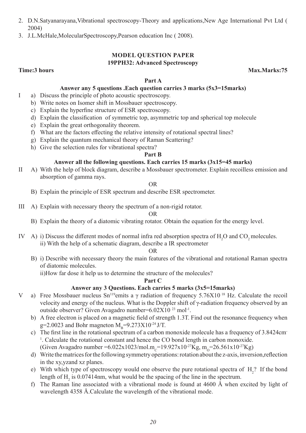- 2. D.N.Satyanarayana,Vibrational spectroscopy-Theory and applications,New Age International Pvt Ltd ( 2004)
- 3. J.L.McHale,MolecularSpectroscopy,Pearson education Inc ( 2008).

### **MODEL QUESTION PAPER 19PPH32: Advanced Spectroscopy**

**Time:3 hours Max.Marks:75** 

## **Part A**

### **Answer any 5 questions .Each question carries 3 marks (5x3=15marks)**

- I a) Discuss the principle of photo acoustic spectroscopy.
	- b) Write notes on Isomer shift in Mossbauer spectroscopy.
	- c) Explain the hyperfine structure of ESR spectroscopy.
	- d) Explain the classification of symmetric top, asymmetric top and spherical top molecule
	- e) Explain the great orthogonality theorem.
	- f) What are the factors effecting the relative intensity of rotational spectral lines?
	- g) Explain the quantum mechanical theory of Raman Scattering?
	- h) Give the selection rules for vibrational spectra?

#### **Part B**

#### **Answer all the following questions. Each carries 15 marks (3x15=45 marks)**

II A) With the help of block diagram, describe a Mossbauer spectrometer. Explain recoilless emission and absorption of gamma rays.

#### OR

- B) Explain the principle of ESR spectrum and describe ESR spectrometer.
- III A) Explain with necessary theory the spectrum of a non-rigid rotator.

#### OR

- B) Explain the theory of a diatomic vibrating rotator. Obtain the equation for the energy level.
- IV A) i) Discuss the different modes of normal infra red absorption spectra of  $H_2O$  and  $CO_2$  molecules. ii) With the help of a schematic diagram, describe a IR spectrometer

#### OR

B) i) Describe with necessary theory the main features of the vibrational and rotational Raman spectra of diatomic molecules.

ii)How far dose it help us to determine the structure of the molecules?

#### **Part C**

### **Answer any 3 Questions. Each carries 5 marks (3x5=15marks)**

- V a) Free Mossbauer nucleus  $Sn^{119}$ emits a γ radiation of frequency 5.76X10<sup>18</sup> Hz. Calculate the recoil velocity and energy of the nucleus. What is the Doppler shift of γ-radiation frequency observed by an outside observer? Given Avagadro number=6.02X10 23 mol-1.
	- b) A free electron is placed on a magnetic field of strength 1.3T. Find out the resonance frequency when g=2.0023 and Bohr magneton  $M_{\text{B}}=9.273X10^{-24}$  J/T.
	- c) The first line in the rotational spectrum of a carbon monoxide molecule has a frequency of 3.8424cm-<sup>1</sup>. Calculate the rotational constant and hence the CO bond length in carbon monoxide. (Given Avagadro number = 6.022x1023/mol.m<sub>c</sub>=19.927x10<sup>-27</sup>Kg, m<sub>o</sub>=26.561x10<sup>-27</sup>Kg)
	- d) Write the matrices for the following symmetry operations: rotation about the z-axis, inversion,reflection in the xy,yzand xz planes.
	- e) With which type of spectroscopy would one observe the pure rotational spectra of  $H_2$ ? If the bond length of  $H_2$  is 0.07414nm, what would be the spacing of the line in the spectrum.
	- f) The Raman line associated with a vibrational mode is found at 4600 Å when excited by light of wavelength 4358 Å.Calculate the wavelength of the vibrational mode.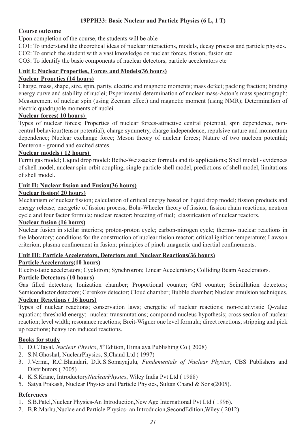### **19PPH33: Basic Nuclear and Particle Physics (6 L, 1 T)**

### **Course outcome**

Upon completion of the course, the students will be able

CO1: To understand the theoretical ideas of nuclear interactions, models, decay process and particle physics.

CO2: To enrich the student with a vast knowledge on nuclear forces, fission, fusion etc

CO3: To identify the basic components of nuclear detectors, particle accelerators etc

### **Unit I: Nuclear Properties, Forces and Models(36 hours)**

### **Nuclear Proprties (14 hours)**

Charge, mass, shape, size, spin, parity, electric and magnetic moments; mass defect; packing fraction; binding energy curve and stability of nuclei; Experimental determination of nuclear mass-Aston's mass spectrograph; Measurement of nuclear spin (using Zeeman effect) and magnetic moment (using NMR); Determination of electric quadrupole moments of nuclei.

### **Nuclear forces( 10 hours)**

Types of nuclear forces; Properties of nuclear forces-attractive central potential, spin dependence, noncentral behaviour(tensor potential), charge symmetry, charge independence, repulsive nature and momentum dependence; Nuclear exchange force; Meson theory of nuclear forces; Nature of two nucleon potential; Deuteron - ground and excited states.

### **Nuclear models ( 12 hours)**

Fermi gas model; Liquid drop model: Bethe-Weizsacker formula and its applications; Shell model - evidences of shell model, nuclear spin-orbit coupling, single particle shell model, predictions of shell model, limitations of shell model.

### **Unit II: Nuclear fission and Fusion(36 hours)**

### **Nuclear fission( 20 hours)**

Mechanism of nuclear fission; calculation of critical energy based on liquid drop model; fission products and energy release; energetic of fission process; Bohr-Wheeler theory of fission; fission chain reactions; neutron cycle and four factor formula; nuclear reactor; breeding of fuel; classification of nuclear reactors.

### **Nuclear fusion (16 hours)**

Nuclear fusion in stellar interiors; proton-proton cycle; carbon-nitrogen cycle; thermo- nuclear reactions in the laboratory; conditions for the construction of nuclear fusion reactor; critical ignition temperature; Lawson criterion; plasma confinement in fusion; principles of pinch ,magnetic and inertial confinements.

### **Unit III: Particle Accelerators, Detectors and Nuclear Reactions(36 hours)**

### **Particle Accelerators(10 hours)**

Electrostatic accelerators; Cyclotron; Synchrotron; Linear Accelerators; Colliding Beam Accelerators.

### **Particle Detectors (10 hours)**

Gas filled detectors; Ionization chamber; Proportional counter; GM counter; Scintillation detectors; Semiconductor detectors; Cerenkov detector; Cloud chamber; Bubble chamber; Nuclear emulsion techniques. **Nuclear Reactions ( 16 hours)**

Types of nuclear reactions; conservation laws; energetic of nuclear reactions; non-relativistic Q-value equation; threshold energy; nuclear transmutations; compound nucleus hypothesis; cross section of nuclear reaction; level width; resonance reactions; Breit-Wigner one level formula; direct reactions; stripping and pick up reactions; heavy ion induced reactions.

### **Books for study**

- 1. D.C.Tayal, *Nuclear Physics*, 5thEdition, Himalaya Publishing Co ( 2008)
- 2. S.N.Ghoshal, NuclearPhysics, S,Chand Ltd ( 1997)
- 3. J.Verma, R.C.Bhandari, D.R.S.Somayajulu*, Fundementals of Nuclear Physics*, CBS Publishers and Distributors ( 2005)
- 4. K.S.Krane, Introductory*NuclearPhysics*, Wiley India Pvt Ltd ( 1988)
- 5. Satya Prakash, Nuclear Physics and Particle Physics, Sultan Chand & Sons(2005).

### **References**

- 1. S.B.Patel,Nuclear Physics-An Introduction,New Age International Pvt Ltd ( 1996).
- 2. B.R.Marhu,Nuclae and Particle Physics- an Introducion,SecondEdition,Wiley ( 2012)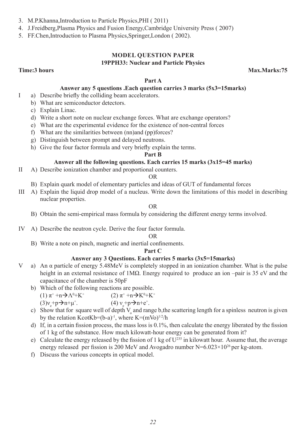- 3. M.P.Khanna,Introduction to Particle Physics,PHI ( 2011)
- 4. J.Freidberg,Plasma Physics and Fusion Energy,Cambridge University Press ( 2007)
- 5. FF.Chen,Introduction to Plasma Physics,Springer,London ( 2002).

### **MODEL QUESTION PAPER 19PPH33: Nuclear and Particle Physics**

**Time:3 hours** Max.Marks:75

#### **Part A**

### **Answer any 5 questions .Each question carries 3 marks (5x3=15marks)**

- I a) Describe briefly the colliding beam accelerators.
	- b) What are semiconductor detectors.
	- c) Explain Linac.
	- d) Write a short note on nuclear exchange forces. What are exchange operators?
	- e) What are the experimental evidence for the existence of non-central forces
	- f) What are the similarities between (nn)and (pp)forces?
	- g) Distinguish between prompt and delayed neutrons.
	- h) Give the four factor formula and very briefly explain the terms.

### **Part B**

### **Answer all the following questions. Each carries 15 marks (3x15=45 marks)**

II A) Describe ionization chamber and proportional counters.

#### OR

- B) Explain quark model of elementary particles and ideas of GUT of fundamental forces
- III A) Explain the liquid drop model of a nucleus. Write down the limitations of this model in describing nuclear properties.

#### OR

- B) Obtain the semi-empirical mass formula by considering the different energy terms involved.
- IV A) Describe the neutron cycle. Derive the four factor formula.

#### OR

B) Write a note on pinch, magnetic and inertial confinements.

#### **Part C**

#### **Answer any 3 Questions. Each carries 5 marks (3x5=15marks)**

- V a) An α particle of energy 5.48MeV is completely stopped in an ionization chamber. What is the pulse height in an external resistance of 1MΩ. Energy required to produce an ion –pair is 35 eV and the capacitance of the chamber is 50pF
	- b) Which of the following reactions are possible.
- $(1)$   $\pi^+$  +n $\rightarrow \Lambda^0$ +K<sup>+</sup>  $(2)$   $\pi^+$  +n  $\rightarrow$  K<sup>0</sup>+K<sup>+</sup>  $(3)v_e+p\rightarrow n+\mu^+$  $(4) v_e^+ p \rightarrow n + e^+$ .
	- c) Show that for square well of depth  $V_0$  and range b, the scattering length for a spinless neutron is given by the relation KcotKb=(b-a)<sup>-1</sup>, where K=(mVo)<sup>1/2</sup>/h
	- d) If, in a certain fission process, the mass loss is 0.1%, then calculate the energy liberated by the fission of 1 kg of the substance. How much kilowatt-hour energy can be generated from it?
	- e) Calculate the energy released by the fission of 1 kg of  $U^{235}$  in kilowatt hour. Assume that, the average energy released per fission is 200 MeV and Avogadro number  $N=6.023\times10^{26}$  per kg-atom.
	- f) Discuss the various concepts in optical model.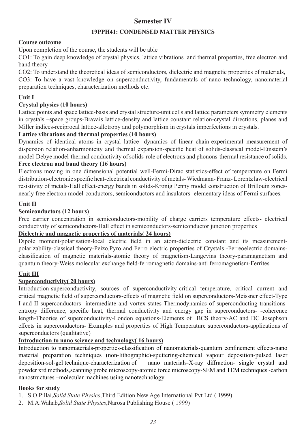## **Semester IV**

### **19PPH41: CONDENSED MATTER PHYSICS**

### **Course outcome**

Upon completion of the course, the students will be able

CO1: To gain deep knowledge of crystal physics, lattice vibrations and thermal properties, free electron and band theory

CO2: To understand the theoretical ideas of semiconductors, dielectric and magnetic properties of materials, CO3: To have a vast knowledge on superconductivity, fundamentals of nano technology, nanomaterial preparation techniques, characterization methods etc.

### **Unit I**

### **Crystal physics (10 hours)**

Lattice points and space lattice-basis and crystal structure-unit cells and lattice parameters symmetry elements in crystals –space groups-Bravais lattice-density and lattice constant relation-crystal directions, planes and Miller indices-reciprocal lattice-allotropy and polymorphism in crystals imperfections in crystals.

### **Lattice vibrations and thermal properties (10 hours)**

Dynamics of identical atoms in crystal lattice- dynamics of linear chain-experimental measurement of dispersion relation-anharmonicity and thermal expansion-specific heat of solids-classical model-Einstein's model-Debye model-thermal conductivity of solids-role of electrons and phonons-thermal resistance of solids. **Free electron and band theory (16 hours)**

Electrons moving in one dimensional potential well-Fermi-Dirac statistics-effect of temperature on Fermi distribution-electronic specific heat-electrical conductivity of metals- Wiedmann- Franz- Lorentz law-electrical resistivity of metals-Hall effect-energy bands in solids-Kronig Penny model construction of Brillouin zonesnearly free electron model-conductors, semiconductors and insulators -elementary ideas of Fermi surfaces.

### **Unit II**

### **Semiconductors (12 hours)**

Free carrier concentration in semiconductors-mobility of charge carriers temperature effects- electrical conductivity of semiconductors-Hall effect in semiconductors-semiconductor junction properties

### **Dielectric and magnetic properties of materials( 24 hours)**

Dipole moment-polarisation-local electric field in an atom-dielectric constant and its measurementpolarizability-classical theory-Peizo,Pyro and Ferro electric properties of Crystals -Ferreoelectric domainsclassification of magnetic materials-atomic theory of magnetism-Langevins theory-paramagnetism and quantum theory-Weiss molecular exchange field-ferromagnetic domains-anti ferromagnetism-Ferrites

### **Unit III**

### **Superconductivity( 20 hours)**

Introduction-superconductivity, sources of superconductivity-critical temperature, critical current and critical magnetic field of superconductors-effects of magnetic field on superconductors-Meissner effect-Type I and II superconductors- intermediate and vortex states-Thermodynamics of superconducting transitionsentropy difference, specific heat, thermal conductivity and energy gap in superconductors- -coherence length-Theories of superconductivity-London equations-Elements of BCS theory-AC and DC Josephson effects in superconductors- Examples and properties of High Temperature superconductors-applications of superconductors (qualitative)

### **Introduction to nano science and technology( 16 hours)**

Introduction to nanomaterials-properties-classification of nanomaterials-quantum confinement effects-nano material preparation techniques (non-lithographic)-sputtering-chemical vapour deposition-pulsed laser deposition-sol-gel technique-characterization of nano materials-X-ray diffraction- single crystal and powder xrd methods,scanning probe microscopy-atomic force microscopy-SEM and TEM techniques -carbon nanostructures –molecular machines using nanotechnology

### **Books for study**

- 1. S.O.Pillai,*Solid State Physics*,Third Edition New Age International Pvt Ltd ( 1999)
- 2. M.A.Wahab,*Solid State Physics*,Narosa Publishing House ( 1999)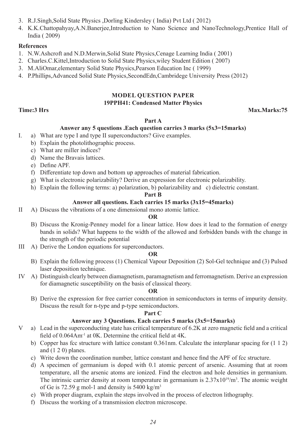- 3. R.J.Singh,Solid State Physics ,Dorling Kindersley ( India) Pvt Ltd ( 2012)
- 4. K.K.Chattopahyay,A.N.Banerjee,Introduction to Nano Science and NanoTechnology,Prentice Hall of India ( 2009)

### **References**

- 1. N.W.Ashcroft and N.D.Merwin,Solid State Physics,Cenage Learning India ( 2001)
- 2. Charles.C.Kittel,Introduction to Solid State Physics,wiley Student Edition ( 2007)
- 3. M.AliOmar,elementary Solid State Physics,Pearson Education Inc ( 1999)
- 4. P.Phillips,Advanced Solid State Physics,SecondEdn,Cambridege University Press (2012)

### **MODEL QUESTION PAPER 19PPH41: Condensed Matter Physics**

**Time:3 Hrs Max.Marks:75**

### **Part A**

#### **Answer any 5 questions .Each question carries 3 marks (5x3=15marks)**

- I. a) What are type I and type II superconductors? Give examples.
	- b) Explain the photolithographic process.
	- c) What are miller indices?
	- d) Name the Bravais lattices.
	- e) Define APF.
	- f) Differentiate top down and bottom up approaches of material fabrication.
	- g) What is electronic polarizability? Derive an expression for electronic polarizability.
	- h) Explain the following terms: a) polarization, b) polarizability and c) dielectric constant.

#### **Part B**

#### **Answer all questions. Each carries 15 marks (3x15=45marks)**

II A) Discuss the vibrations of a one dimensional mono atomic lattice.

#### **OR**

- B) Discuss the Kronig-Penney model for a linear lattice. How does it lead to the formation of energy bands in solids? What happens to the width of the allowed and forbidden bands with the change in the strength of the periodic potential
- III A) Derive the London equations for superconductors.

#### **OR**

- B) Explain the following process (1) Chemical Vapour Deposition (2) Sol-Gel technique and (3) Pulsed laser deposition technique.
- IV A) Distinguish clearly between diamagnetism, paramagnetism and ferromagnetism. Derive an expression for diamagnetic susceptibility on the basis of classical theory.

#### **OR**

B) Derive the expression for free carrier concentration in semiconductors in terms of impurity density. Discuss the result for n-type and p-type semiconductors.

#### **Part C**

#### **Answer any 3 Questions. Each carries 5 marks (3x5=15marks)**

- V a) Lead in the superconducting state has critical temperature of 6.2K at zero magnetic field and a critical field of 0.064Am<sup>-1</sup> at 0K. Determine the critical field at 4K.
	- b) Copper has fcc structure with lattice constant 0.361nm. Calculate the interplanar spacing for (1 1 2) and (1 2 0) planes.
	- c) Write down the coordination number, lattice constant and hence find the APF of fcc structure.
	- d) A specimen of germanium is doped with 0.1 atomic percent of arsenic. Assuming that at room temperature, all the arsenic atoms are ionized. Find the electron and hole densities in germanium. The intrinsic carrier density at room temperature in germanium is  $2.37 \times 10^{19}$ /m<sup>3</sup>. The atomic weight of Ge is 72.59 g mol-1 and density is 5400 kg/m<sup>3</sup>
	- e) With proper diagram, explain the steps involved in the process of electron lithography.
	- f) Discuss the working of a transmission electron microscope.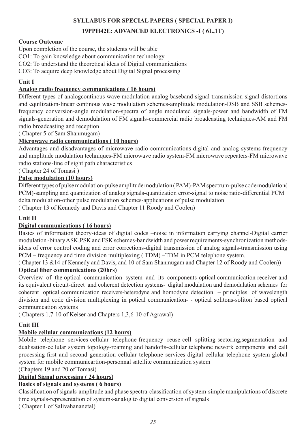### **SYLLABUS FOR SPECIAL PAPERS ( SPECIAL PAPER I)**

### **19PPH42E: ADVANCED ELECTRONICS -I ( 6L,1T)**

### **Course Outcome**

Upon completion of the course, the students will be able

CO1: To gain knowledge about communication technology.

CO2: To understand the theoretical ideas of Digital communications

CO3: To acquire deep knowledge about Digital Signal processing

### **Unit I**

### **Analog radio frequency communications ( 16 hours)**

Different types of analogcontinous wave modulation-analog baseband signal transmission-signal distortions and equilization-linear continous wave modulation schemes-amplitude modulation-DSB and SSB schemesfrequency conversion-angle modulation-spectra of angle modulated signals-power and bandwidth of FM signals-generation and demodulation of FM signals-commercial radio broadcasting techniques-AM and FM radio broadcasting and reception

( Chapter 5 of Sam Shanmugam)

### **Microwave radio communications ( 10 hours)**

Advantages and disadvantages of microwave radio communications-digital and analog systems-frequency and amplitude modulation techniques-FM microwave radio system-FM microwave repeaters-FM microwave radio stations-line of sight path characteristics

( Chapter 24 of Tomasi )

### **Pulse modulation (10 hours)**

Different types of pulse modulation-pulse amplitude modulation ( PAM)-PAM spectrum-pulse code modulation( PCM)-sampling and quantization of analog signals-quantization error-signal to noise ratio-differential PCM\_ delta modulation-other pulse modulation schemes-applications of pulse modulation

( Chapter 13 of Kennedy and Davis and Chapter 11 Roody and Coolen)

### **Unit II**

### **Digital communications ( 16 hours)**

Basics of information theory-ideas of digital codes –noise in information carrying channel-Digital carrier modulation -binary ASK,PSK and FSK schemes-bandwidth and power requirements-synchronization methodsideas of error control coding and error corrections-digital transmission of analog signals-transmission using PCM **–** frequency and time division multiplexing ( TDM) –TDM in PCM telephone system.

( Chapter 13 &14 of Kennedy and Davis, and 10 of Sam Shanmugam and Chapter 12 of Roody and Coolen))

### **Optical fiber communications (20hrs)**

Overview of the optical communication system and its components-optical communication receiver and its equivalent circuit-direct and coherent detection systems- digital modulation and demodulation schemes for coherent optical communication receivers-heterodyne and homodyne detection – principles of wavelength division and code division multiplexing in potical communication- - optical solitons-soliton based optical communication systems

( Chapters 1,7-10 of Keiser and Chapters 1,3,6-10 of Agrawal)

### **Unit III**

### **Mobile cellular communications (12 hours)**

Mobile telephone services-cellular telephone-frequency reuse-cell splitting-sectoring,segmentation and dualisation-cellular system topology-roaming and handoffs-cellular telephone nework components and call processing-first and second generation cellular telephone services-digital cellular telephone system-global system for mobile communicartion-personnal satellite communication system

(Chapters 19 and 20 of Tomasi)

### **Digital Signal processing ( 24 hours)**

### **Basics of signals and systems ( 6 hours)**

Classification of signals-amplitude and phase spectra-classification of system-simple manipulations of discrete time signals-representation of systems-analog to digital conversion of signals

( Chapter 1 of Salivahananetal)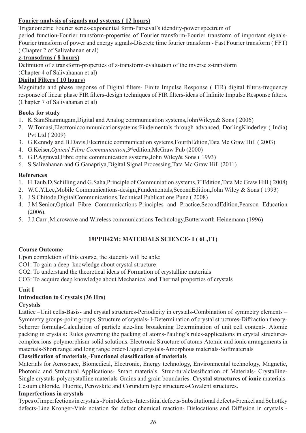### **Fourier analysis of signals and systems ( 12 hours)**

Triganometric Fourier series-exponential form-Parseval's idendity-power spectrum of

period function-Fourier transform-properties of Fourier transform-Fourier transform of important signals-Fourier transform of power and energy signals-Discrete time fourier transform - Fast Fourier transform ( FFT) ( Chapter 2 of Salivahanan et al)

### **z-transofrms ( 8 hours)**

Definition of z transform-properties of z-transform-evaluation of the inverse z-transform (Chapter 4 of Salivahanan et al)

### **Digital Filters ( 10 hours)**

Magnitude and phase response of Digital filters- Finite Impulse Response ( FIR) digital filters-frequency response of linear phase FIR filters-design techniques of FIR filters-ideas of Infinite Impulse Response filters. (Chapter 7 of Salivahanan et al)

### **Books for study**

- 1. K.SamShanmugam,Digital and Analog communication systems,JohnWileya& Sons ( 2006)
- 2. W.Tomasi,Electroniccommunicationsystems:Findementals through advanced, DorlingKinderley ( India) Pvt Ltd ( 2009)
- 3. G.Kenndy and B.Davis,Elecrinuic communication systems,FourthEdiion,Tata Mc Graw Hill ( 2003)
- 4. G.Keiser,*Optical Fibre Communication*,3rdedition,McGraw Pub (2000)
- 5. G.P.Agrawal,Fibre optic communication systems,John Wiley& Sons ( 1993)
- 6. S.Salivahanan and G.Ganapriya,Digital Signal Processing,Tata Mc Graw Hill (2011)

### **References**

- 1. H.Taub,D,Schilling and G.Saha,Principle of Communiation systems,3rdEdition,Tata Mc Graw Hill ( 2008)
- 2. W.C.Y.Lee,Mobile Communications-design,Fundementals,SecondEdition,John Wiley & Sons ( 1993)
- 3. J.S.Chitode,DigitalCommunications,Technical Publications Pune ( 2008)
- 4. J.M.Senior,Optical Fibre Communications-Principles and Practice,SecondEdition,Pearson Education (2006).
- 5. J.J.Carr ,Microwave and Wireless communications Technology,Butterworth-Heinemann (1996)

### **19PPH42M: MATERIALS SCIENCE- I ( 6L,1T)**

### **Course Outcome**

Upon completion of this course, the students will be able:

- CO1: To gain a deep knowledge about crystal structure
- CO2: To understand the theoretical ideas of Formation of crystalline materials

CO3: To acquire deep knowledge about Mechanical and Thermal properties of crystals

### **Unit I**

### **Introduction to Crystals (36 Hrs)**

### **Crystals**

Lattice –Unit cells-Basis- and crystal structures-Periodicity in crystals-Combination of symmetry elements – Symmetry groups-point groups. Structure of crystals**-** l-Determination of crystal structures-Diffraction theory-Scherrer formula-Calculation of particle size-line broadening Determination of unit cell content-. Atomic packing in crystals**:** Rules governing the packing of atoms-Pauling's rules-applications in crystal structurescomplex ions-polymorphism-solid solutions. Electronic Structure of atoms-Atomic and ionic arrangements in materials-Short range and long range order-Liquid crystals-Amorphous materials-Softmaterials

### **Classification of materials**,-**Functional classification of materials**

Materials for Aerospace, Biomedical, Electronic, Energy technology, Environmental technology, Magnetic, Photonic and Structural Applications- Smart materials. Struc-turalclassification of Materials- Crystalline-Single crystals-polycrystalline materials-Grains and grain boundaries. **Crystal structures of ionic** materials-Cesium chloride, Fluorite, Perovskite and Corundum type structures-Covalent structures.

### **Imperfections in crystals**

Types of imperfections in crystals -Point defects-Interstitial defects-Substitutional defects-Frenkel and Schottky defects-Line Kronger-Vink notation for defect chemical reaction- Dislocations and Diffusion in crystals -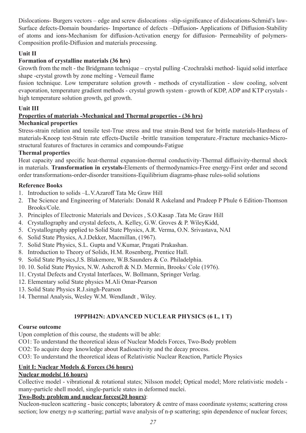Dislocations- Burgers vectors – edge and screw dislocations –slip-significance of dislocations-Schmid's law-Surface defects-Domain boundaries- Importance of defects –Diffusion**-** Applications of Diffusion-Stability of atoms and ions-Mechanism for diffusion-Activation energy for diffusion- Permeability of polymers-Composition profile-Diffusion and materials processing.

### **Unit II**

### **Formation of crystalline materials (36 hrs)**

Growth from the melt - the Bridgmann technique – crystal pulling -Czochralski method- liquid solid interface shape -crystal growth by zone melting - Verneuil flame

fusion technique. Low temperature solution growth - methods of crystallization - slow cooling, solvent evaporation, temperature gradient methods - crystal growth system - growth of KDP, ADP and KTP crystals high temperature solution growth, gel growth.

### **Unit III**

### **Properties of materials -Mechanical and Thermal properties - (36 hrs)**

### **Mechanical properties**

Stress-strain relation and tensile test-True stress and true strain-Bend test for brittle materials-Hardness of materials-Knoop test-Strain rate effects-Ductile -brittle transition temperature.-Fracture mechanics-Microstructural features of fractures in ceramics and compounds-Fatigue

### **Thermal properties**

Heat capacity and specific heat-thermal expansion-thermal conductivity-Thermal diffusivity-thermal shock in materials. **Transformation in crystals-**Elements of thermodynamics-Free energy-First order and second order transformations-order-disorder transitions-Equilibrium diagrams-phase rules-solid solutions

### **Reference Books**

- 1. Introduction to solids –L.V.Azaroff Tata Mc Graw Hill
- 2. The Science and Engineering of Materials: Donald R Askeland and Pradeep P Phule 6 Edition-Thomson Brooks/Cole.
- 3. Principles of Electronic Materials and Devices , S.O.Kasap .Tata Mc Graw Hill
- 4. Crystallography and crystal defects, A. Kelley, G.W. Groves & P. WileyKidd,
- 5. Crystallography applied to Solid State Physics, A.R. Verma, O.N. Srivastava, NAI
- 6. Solid State Physics, A.J.Dekker, Macmillan, (1967).
- 7. Solid State Physics, S.L. Gupta and V.Kumar, Pragati Prakashan.
- 8. Introduction to Theory of Solids, H.M. Rosenberg, Prentice Hall.
- 9. Solid State Physics,J.S. Blakemore, W.B.Saunders & Co. Philadelphia.
- 10. 10. Solid State Physics, N.W. Ashcroft & N.D. Mermin, Brooks/ Cole (1976).
- 11. Crystal Defects and Crystal Interfaces, W. Bollmann, Springer Verlag.
- 12. Elementary solid State physics M.Ali Omar-Pearson
- 13. Solid State Physics R.J.singh-Pearson
- 14. Thermal Analysis, Wesley W.M. Wendlandt , Wiley.

### **19PPH42N: ADVANCED NUCLEAR PHYSICS (6 L, 1 T)**

### **Course outcome**

Upon completion of this course, the students will be able:

CO1: To understand the theoretical ideas of Nuclear Models Forces, Two-Body problem

CO2: To acquire deep knowledge about Radioactivity and the decay process.

CO3: To understand the theoretical ideas of Relativistic Nuclear Reaction, Particle Physics

## **Unit I: Nuclear Models & Forces (36 hours)**

### **Nuclear models( 16 hours)**

Collective model - vibrational & rotational states; Nilsson model; Optical model; More relativistic models many-particle shell model, single-particle states in deformed nuclei.

### **Two-Body problem and nuclear forces(20 hours)**:

Nucleon-nucleon scattering - basic concepts; laboratory & centre of mass coordinate systems; scattering cross section; low energy n-p scattering; partial wave analysis of n-p scattering; spin dependence of nuclear forces;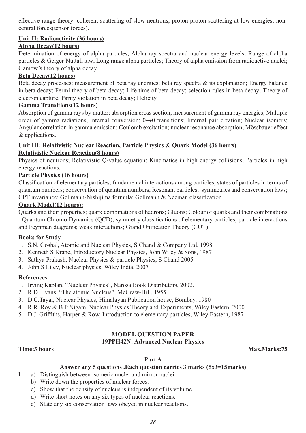effective range theory; coherent scattering of slow neutrons; proton-proton scattering at low energies; noncentral forces(tensor forces).

### **Unit II: Radioactivity (36 hours)**

### **Alpha Decay(12 hours)**

Determination of energy of alpha particles; Alpha ray spectra and nuclear energy levels; Range of alpha particles & Geiger-Nuttall law; Long range alpha particles; Theory of alpha emission from radioactive nuclei; Gamow's theory of alpha decay.

### **Beta Decay(12 hours)**

Beta decay processes; measurement of beta ray energies; beta ray spectra & its explanation; Energy balance in beta decay; Fermi theory of beta decay; Life time of beta decay; selection rules in beta decay; Theory of electron capture; Parity violation in beta decay; Helicity.

### **Gamma Transitions(12 hours)**

Absorption of gamma rays by matter; absorption cross section; measurement of gamma ray energies; Multiple order of gamma radiations; internal conversion; 0→0 transitions; Internal pair creation; Nuclear isomers; Angular correlation in gamma emission; Coulomb excitation; nuclear resonance absorption; Mössbauer effect & applications.

### **Unit III: Relativistic Nuclear Reaction, Particle Physics & Quark Model (36 hours)**

### **Relativistic Nuclear Reaction(8 hours)**

Physics of neutrons; Relativistic Q-value equation; Kinematics in high energy collisions; Particles in high energy reactions.

### **Particle Physics (16 hours)**

Classification of elementary particles; fundamental interactions among particles; states of particles in terms of quantum numbers; conservation of quantum numbers; Resonant particles; symmetries and conservation laws; CPT invariance; Gellmann-Nishijima formula; Gellmann & Neeman classification.

### **Quark Model(12 hours):**

Quarks and their properties; quark combinations of hadrons; Gluons; Colour of quarks and their combinations - Quantum Chromo Dynamics (QCD); symmetry classifications of elementary particles; particle interactions and Feynman diagrams; weak interactions; Grand Unification Theory (GUT).

### **Books for Study**

- 1. S.N. Goshal, Atomic and Nuclear Physics, S Chand & Company Ltd. 1998
- 2. Kenneth S Krane, Introductory Nuclear Physics, John Wiley & Sons, 1987
- 3. Sathya Prakash, Nuclear Physics & particle Physics, S Chand 2005
- 4. John S Liley, Nuclear physics, Wiley India, 2007

### **References**

- 1. Irving Kaplan, "Nuclear Physics", Narosa Book Distributors, 2002.
- 2. R.D. Evans, "The atomic Nucleus", McGraw-Hill, 1955.
- 3. D.C.Tayal, Nuclear Physics, Himalayan Publication house, Bombay, 1980
- 4. R.R. Roy & B P Nigam, Nuclear Physics Theory and Experiments, Wiley Eastern, 2000.
- 5. D.J. Griffiths, Harper & Row, Introduction to elementary particles, Wiley Eastern, 1987

## **MODEL QUESTION PAPER**

### **19PPH42N: Advanced Nuclear Physics**

**Time:3 hours Max.Marks:75** 

### **Part A**

### **Answer any 5 questions .Each question carries 3 marks (5x3=15marks)**

- I a) Distinguish between isomeric nuclei and mirror nuclei.
	- b) Write down the properties of nuclear forces.
	- c) Show that the density of nucleus is independent of its volume.
	- d) Write short notes on any six types of nuclear reactions.
	- e) State any six conservation laws obeyed in nuclear reactions.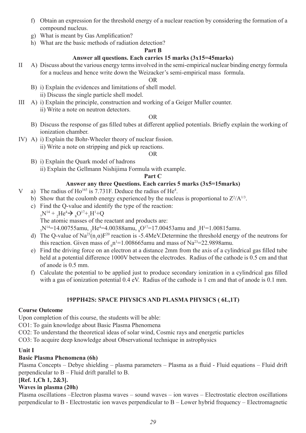- f) Obtain an expression for the threshold energy of a nuclear reaction by considering the formation of a compound nucleus.
- g) What is meant by Gas Amplification?
- h) What are the basic methods of radiation detection?

### **Part B**

### **Answer all questions. Each carries 15 marks (3x15=45marks)**

II A) Discuss about the various energy terms involved in the semi-empirical nuclear binding energy formula for a nucleus and hence write down the Weizacker's semi-empirical mass formula.

### OR

- B) i) Explain the evidences and limitations of shell model. ii) Discuss the single particle shell model.
- III A) i) Explain the principle, construction and working of a Geiger Muller counter. ii) Write a note on neutron detectors.

#### OR

- B) Discuss the response of gas filled tubes at different applied potentials. Briefly explain the working of ionization chamber.
- IV) A) i) Explain the Bohr-Wheeler theory of nuclear fission. ii) Write a note on stripping and pick up reactions.

### OR

B) i) Explain the Quark model of hadrons ii) Explain the Gellmann Nishijima Formula with example.

### **Part C**

### **Answer any three Questions. Each carries 5 marks (3x5=15marks)**

- V a) The radius of Ho<sup>165</sup> is 7.731F. Deduce the radius of He<sup>4</sup>.
	- b) Show that the coulomb energy experienced by the nucleus is proportional to  $Z^2/A^{1/3}$ .
	- c) Find the Q-value and identify the type of the reaction:
- 7  $N^{14} + {}_{2}He^{4} \rightarrow {}_{8}O^{17} + {}_{1}H^{1} + Q$  The atomic masses of the reactant and products are: N' $^{14}$ =14.00755amu,  $_{2}$ He<sup>4</sup>=4.00388amu,  $_{8}$ O'<sup>7</sup>=17.00453amu and  $_{1}$ H'=1.00815amu.
- d) The Q-value of Na<sup>23</sup>(n<sub>1</sub> $\alpha$ )F<sup>20</sup> reaction is -5.4MeV.Determine the threshold energy of the neutrons for this reaction. Given mass of  $_0$ n<sup>1=1</sup>.008665amu and mass of Na<sup>23=22</sup>.9898amu.
	- e) Find the driving force on an electron at a distance 2mm from the axis of a cylindrical gas filled tube held at a potential difference 1000V between the electrodes. Radius of the cathode is 0.5 cm and that of anode is 0.5 mm.
	- f) Calculate the potential to be applied just to produce secondary ionization in a cylindrical gas filled with a gas of ionization potential 0.4 eV. Radius of the cathode is 1 cm and that of anode is 0.1 mm.

### **19PPH42S: SPACE PHYSICS AND PLASMA PHYSICS ( 6L,1T)**

### **Course Outcome**

Upon completion of this course, the students will be able:

- CO1: To gain knowledge about Basic Plasma Phenomena
- CO2: To understand the theoretical ideas of solar wind, Cosmic rays and energetic particles

CO3: To acquire deep knowledge about Observational technique in astrophysics

### **Unit I**

### **Basic Plasma Phenomena (6h)**

Plasma Concepts – Debye shielding – plasma parameters – Plasma as a fluid - Fluid equations – Fluid drift perpendicular to B – Fluid drift parallel to B.

### **[Ref. 1,Ch 1, 2&3].**

### **Waves in plasma (20h)**

Plasma oscillations –Electron plasma waves – sound waves – ion waves – Electrostatic electron oscillations perpendicular to B - Electrostatic ion waves perpendicular to B – Lower hybrid frequency – Electromagnetic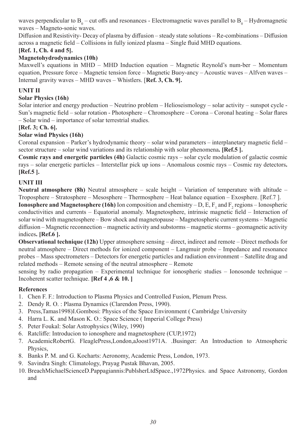waves perpendicular to  $B_0$  – cut offs and resonances - Electromagnetic waves parallel to  $B_0$  – Hydromagnetic waves – Magneto-sonic waves.

Diffusion and Resistivity- Decay of plasma by diffusion – steady state solutions – Re-combinations – Diffusion across a magnetic field – Collisions in fully ionized plasma – Single fluid MHD equations.

### **[Ref. 1, Ch. 4 and 5].**

### **Magnetohydrodynamics (10h)**

Maxwell's equations in MHD – MHD Induction equation – Magnetic Reynold's num-ber – Momentum equation, Pressure force – Magnetic tension force – Magnetic Buoy-ancy – Acoustic waves – Alfven waves – Internal gravity waves – MHD waves – Whistlers. [**Ref. 3, Ch. 9].**

### **UNIT II**

### **Solar Physics (16h)**

Solar interior and energy production – Neutrino problem – Helioseismology – solar activity – sunspot cycle - Sun's magnetic field – solar rotation - Photosphere – Chromosphere – Corona – Coronal heating – Solar flares – Solar wind – importance of solar terrestrial studies.

### **[Ref. 3; Ch. 6].**

### **Solar wind Physics (16h)**

Coronal expansion – Parker's hydrodynamic theory – solar wind parameters – interplanetary magnetic field – sector structure – solar wind variations and its relationship with solar phenomena**. [Ref.5 ].**

**Cosmic rays and energetic particles (4h)** Galactic cosmic rays – solar cycle modulation of galactic cosmic rays – solar energetic particles – Interstellar pick up ions – Anomalous cosmic rays – Cosmic ray detectors**. [Ref.5 ].**

### **UNIT III**

**Neutral atmosphere (8h)** Neutral atmosphere – scale height – Variation of temperature with altitude – Troposphere – Stratosphere – Mesosphere – Thermosphere – Heat balance equation – Exosphere. [Ref.7 ]. **Ionosphere and Magnetosphere (16h)** Ion composition and chemistry  $-D$ , E,  $F_1$  and  $F_2$  regions  $-$  Ionospheric conductivities and currents – Equatorial anomaly. Magnetosphere, intrinsic magnetic field – Interaction of

solar wind with magnetosphere – Bow shock and magnetopause – Magnetospheric current systems – Magnetic diffusion – Magnetic reconnection – magnetic activity and substorms – magnetic storms – geomagnetic activity indices**. [Ref.6 ].**

**Observational technique (12h)** Upper atmosphere sensing – direct, indirect and remote – Direct methods for neutral atmosphere – Direct methods for ionized component – Langmuir probe – Impedance and resonance probes – Mass spectrometers – Detectors for energetic particles and radiation environment – Satellite drag and related methods – Remote sensing of the neutral atmosphere – Remote

sensing by radio propagation – Experimental technique for ionospheric studies – Ionosonde technique – Incoherent scatter technique. **[Ref 4 ,6 & 10. ]**

### **References**

- 1. Chen F. F.: Introduction to Plasma Physics and Controlled Fusion, Plenum Press.
- 2. Dendy R. O. : Plasma Dynamics (Clarendon Press, 1990).
- 3. Press,Tamas1998)I.Gombosi: Physics of the Space Environment ( Cambridge University
- 4. Harra L. K. and Mason K. O.: Space Science ( Imperial College Press)
- 5. Peter Foukal: Solar Astrophysics (Wiley, 1990)
- 6. Ratcliffe: Introducion to ionosphere and magnetosphere (CUP,1972)
- 7. AcademicRobertG. FleaglePress,London,aJoost1971A. .Businger: An Introduction to Atmospheric Physics,
- 8. Banks P. M. and G. Kocharts: Aeronomy, Academic Press, London, 1973.
- 9. Savindra Singh: Climatology, Prayag Pustak Bhavan, 2005.
- 10. BreachMichaelScienceD.Pappagiannis:PublsherLtdSpace.,1972Physics. and Space Astronomy, Gordon and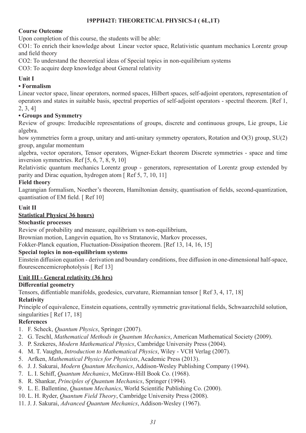### **19PPH42T: THEORETICAL PHYSICS-I ( 6L,1T)**

### **Course Outcome**

Upon completion of this course, the students will be able:

CO1: To enrich their knowledge about Linear vector space, Relativistic quantum mechanics Lorentz group and field theory

CO2: To understand the theoretical ideas of Special topics in non-equilibrium systems

CO3: To acquire deep knowledge about General relativity

### **Unit I**

### **• Formalism**

Linear vector space, linear operators, normed spaces, Hilbert spaces, self-adjoint operators, representation of operators and states in suitable basis, spectral properties of self-adjoint operators - spectral theorem. [Ref 1, 2, 3, 4]

### **• Groups and Symmetry**

Review of groups: Irreducible representations of groups, discrete and continuous groups, Lie groups, Lie algebra.

how symmetries form a group, unitary and anti-unitary symmetry operators, Rotation and O(3) group, SU(2) group, angular momentum

algebra, vector operators, Tensor operators, Wigner-Eckart theorem Discrete symmetries - space and time inversion symmetries. Ref [5, 6, 7, 8, 9, 10]

Relativistic quantum mechanics Lorentz group - generators, representation of Lorentz group extended by parity and Dirac equation, hydrogen atom [ Ref 5, 7, 10, 11]

### **Field theory**

Lagrangian formalism, Noether's theorem, Hamiltonian density, quantisation of fields, second-quantization, quantisation of EM field. [ Ref 10]

### **Unit II**

### **Statistical Physics( 36 hours)**

### **Stochastic processes**

Review of probability and measure, equilibrium vs non-equilibrium,

Brownian motion, Langevin equation, Ito vs Stratanovic, Markov processes,

Fokker-Planck equation, Fluctuation-Dissipation theorem. [Ref 13, 14, 16, 15]

### **Special topics in non-equilibrium systems**

Einstein diffusion equation - derivation and boundary conditions, free diffusion in one-dimensional half-space, flourescencemicrophotolysis [Ref 13]

### **Unit III - General relativity (36 hrs)**

### **Differential geometry**

Tensors, diffentiable manifolds, geodesics, curvature, Riemannian tensor [ Ref 3, 4, 17, 18]

### **Relativity**

Principle of equivalence, Einstein equations, centrally symmetric gravitational fields, Schwaarzchild solution, singularities [ Ref 17, 18]

### **References**

- 1. F. Scheck, *Quantum Physics*, Springer (2007).
- 2. G. Teschl, *Mathematical Methods in Quantum Mechanics*, American Mathematical Society (2009).
- 3. P. Szekeres, *Modern Mathematical Physics*, Cambridge University Press (2004).
- 4. M. T. Vaughn, *Introduction to Mathematical Physics*, Wiley VCH Verlag (2007).
- 5. Arfken, *Mathematical Physics for Physicists*, Academic Press (2013).
- 6. J. J. Sakurai, *Modern Quantum Mechanics*, Addison-Wesley Publishing Company (1994).
- 7. L. I. Schiff, *Quantum Mechanics*, McGraw-Hill Book Co. (1968).
- 8. R. Shankar, *Principles of Quantum Mechanics*, Springer (1994).
- 9. L. E. Ballentine, *Quantum Mechanics*, World Scientific Publishing Co. (2000).
- 10. L. H. Ryder, *Quantum Field Theory*, Cambridge University Press (2008).
- 11. J. J. Sakurai, *Advanced Quantum Mechanics*, Addison-Wesley (1967).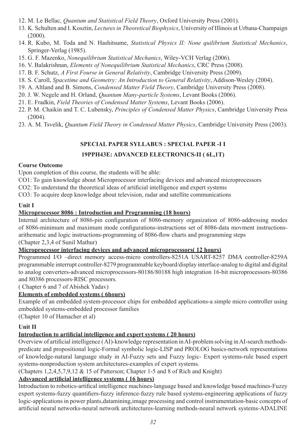- 12. M. Le Bellac, *Quantum and Statistical Field Theory*, Oxford University Press (2001).
- 13. K. Schulten and I. Kosztin, *Lectures in Theoretical Biophysics*, University of Illinois at Urbana-Champaign (2000).
- 14. R. Kubo, M. Toda and N. Hashitsume, *Statistical Physics II: None quilibrium Statistical Mechanics*, Springer-Verlag (1985).
- 15. G. F. Mazenko, *Nonequilibrium Statistical Mechanics*, Wiley-VCH Verlag (2006).
- 16. V. Balakrishnan, *Elements of Nonequilibrium Statistical Mechanics*, CRC Press (2008).
- 17. B. F. Schutz, *A First Fourse in General Relativity*, Cambridge University Press (2009).
- 18. S. Caroll, *Spacetime and Geometry: An Introduction to General Relativity*, Addison-Wesley (2004).
- 19. A. Altland and B. Simons, *Condensed Matter Field Theory*, Cambridge University Press (2008).
- 20. J. W. Negele and H. Orland, *Quantum Many-particle Systems*, Levant Books (2006).
- 21. E. Fradkin, *Field Theories of Condensed Matter Systems*, Levant Books (2006).
- 22. P. M. Chaikin and T. C. Lubensky, *Principles of Condensed Matter Physics*, Cambridge University Press (2004).
- 23. A. M. Tsvelik, *Quantum Field Theory in Condensed Matter Physics*, Cambridge University Press (2003).

### **SPECIAL PAPER SYLLABUS : SPECIAL PAPER -I I**

### **19PPH43E: ADVANCED ELECTRONICS-II ( 6L,1T)**

### **Course Outcome**

Upon completion of this course, the students will be able:

CO1: To gain knowledge about Microprocessor interfacing devices and advanced microprocessors

CO2: To understand the theoretical ideas of artificial intelligence and expert systems

CO3: To acquire deep knowledge about television, radar and satellite communications

### **Unit I**

### **Microprocessor 8086 : Introduction and Programming (18 hours)**

Internal architecture of 8086-pin configuration of 8086-memory organization of 8086-addressing modes of 8086-minimum and maximum mode configurations-instructions set of 8086-data movment instructionsarithematic and logic instructions-programming of 8086-flow charts and programming steps (Chapter 2,3,4 of Sunil Mathur)

### **Microprocessor interfacing devices and advanced microprocessors( 12 hours)**

Programmed I/O –direct memory access-micro controllers-8251A USART-8257 DMA controller-8259A programmable interrupt controller-8279 programmable keyboard/display interface-analog to digital and digital to analog converters-advanced microprocessors-80186/80188 high integration 16-bit microprocessors-80386 and 80386 processors-RISC processors.

( Chapter 6 and 7 of Abishek Yadav)

### **Elements of embedded systems ( 6hours)**

Example of an embedded system-processor chips for embedded applications-a simple micro controller using embedded systems-embedded processor families

(Chapter 10 of Hamacher et al)

### **Unit II**

### **Introduction to artificial intelligence and expert systems ( 20 hours)**

Overview of artificial intelligence ( AI)-knowledge representation in AI-problem solving in AI-search methodspredicate and propositional logic-Formal symbolic logic-LISP and PROLOG basics-network representations of knowledge-natural language study in AI-Fuzzy sets and Fuzzy logic- Expert systems-rule based expert systems-nonproduction system architectures-examples of expert systems.

(Chapters 1,2,4,5,7,9,12 & 15 of Patterson; Chapter 1-5 and 8 of Rich and Knight)

### **Adsvanced artificial intelligence systems ( 16 hours)**

Introduction to robotics-artifical intelligence machines-language based and knowledge based machines-Fuzzy expert systems-fuzzy quantifiers-fuzzy inference-fuzzy rule based systems-engineering applications of fuzzy logic-applications in power plants,datamining,image processing and control instrumentation-basic concepts of artificial neural networks-neural network architectures-learning methods-neural network systems-ADALINE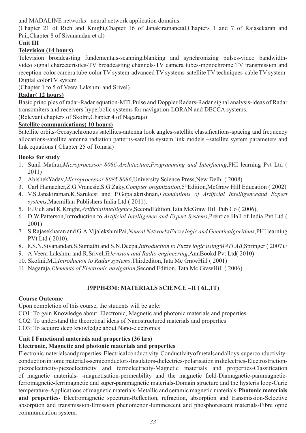and MADALINE networks –neural network application domains.

(Chapter 21 of Rich and Knight,Chapter 16 of Janakiramanetal,Chapters 1 and 7 of Rajasekaran and Pai,,Chapter 8 of Sivanandan et al)

### **Unit III**

### **Television (14 hours)**

Television broadcasting fundementals-scanning,blanking and synchronizing pulses-video bandwidthvideo signal charecterisitcs-TV broadcasting channels-TV camera tubes-monochrome TV transmission and reception-color camera tube-color TV system-advanced TV systems-satellite TV techniques-cable TV system-Digital colorTV system

(Chapter 1 to 5 of Veera Lakshmi and Srivel)

### **Radar( 12 hours)**

Basic principles of radar-Radar equation-MTI,Pulse and Doppler Radars-Radar signal analysis-ideas of Radar transomiters and receivers-hyperbolic systems for navigation-LORAN and DECCA systems.

(Relevant chapters of Skolni,Chapter 4 of Nagaraja)

### **Satellite communications( 10 hours)**

Satellite orbits-Geosynchronous satellites-antenna look angles-satellite classifications-spacing and frequency allocations-satellite antenna radiation patterns-satellite system link models –satellite system parameters and link equations ( Chapter 25 of Tomasi)

### **Books for study**

- 1. Sunil Mathur,*Microprocessor 8086-Architecture,Programming and Interfacing*,PHI learning Pvt Ltd ( 2011)
- 2. AbishekYadav,*Microprocessor 8085 8086*,University Science Press,New Delhi ( 2008)
- 3. Carl Hamacher,Z.G.Vranesic,S.G.Zaky,*Compter organization*,5thEdition,McGraw Hill Education ( 2002)
- 4. V.S.Janakiraman,K.Sarukesi and P.Gopalakrishnan,*Foundations of Artificial Intelligenceand Expert systems*,Macmillan Publishers India Ltd ( 2011).
- 5. E.Rich and K.Knight,*ArtificialIntelligence*,SecondEdition,Tata McGraw Hill Pub Co ( 2006),
- 6. D.W.Patterson,Introduction to *Artificial Intelligence and Expert Systems*,Prentice Hall of India Pvt Ltd ( 2001)
- 7. S.Rajasekharan and G.A.VijalekshmiPai,*Neural NetworksFuzzy logic and Geneticalgorithms*,PHI learning PVt Ltd ( 2010).
- 8. 8.S.N.Sivanandan,S.Sumathi and S.N.Deepa,*Introduction to Fuzzy logic usingMATLAB*,Springer ( 2007).\
- 9. A.Veera Lakshmi and R.Srivel,*Television and Radio engineering*,AnnBookd Pvt Ltd( 2010)
- 10. Skolini.M.I,*Introducion to Radar systems*,Thirdediton,Tata Mc GrawHill ( 2001)
- 11. Nagaraja,*Elements of Electronic navigation*,Second Edition, Tata Mc GrawHill ( 2006).

### **19PPH43M: MATERIALS SCIENCE –II ( 6L,1T)**

### **Course Outcome**

Upon completion of this course, the students will be able:

CO1: To gain Knowledge about Electronic, Magnetic and photonic materials and properties

CO2: To understand the theoretical ideas of Nanostructured materials and properties

CO3: To acquire deep knowledge about Nano-electronics

### **Unit I Functional materials and properties (36 hrs)**

### **Electronic, Magnetic and photonic materials and properties**

Electronic materials and properties- Electrical conductivity-Conductivity of metals and alloys-superconductivityconduction in ionic materials-semiconductors-Insulators-dielectrics-polarisation in dielectrics-Electrostrictionpiezoelectricity-piezoelectricity and ferroelectricity-Magnetic materials and properties-Classification of magnetic materials- -magnetisation-permeability and the magnetic field-Diamagnetic-paramagneticferromagnetic-ferrimagnetic and super-paramagnetic materials-Domain structure and the hysteris loop-Curie temperature-Applications of magnetic materials-Metallic and ceramic magnetic materials-**Photonic materials and properties**- Electromagnetic spectrum-Reflection, refraction, absorption and transmission-Selective absorption and transmission-Emission phenomenon-luminescent and phosphorescent materials-Fibre optic communication system.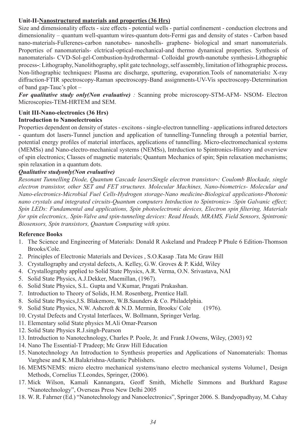### **Unit-II-Nanostructured materials and properties (36 Hrs)**

Size and dimensionality effects - size effects - potential wells - partial confinement - conduction electrons and dimensionality – quantum well-quantum wires-quantum dots-Fermi gas and density of states - Carbon based nano-materials-Fullerenes-carbon nanotubes- nanoshells- graphene- biological and smart nanomaterials. Properties of nanomaterials- elctrical-optical-mechanical-and thermo dynamical properties. Synthesis of nanomaterials- CVD-Sol-gel-Combustion-hydrothermal- Colloidal growth-nanotube synthesis-Lithographic process**-**: Lithography, Nanolithography, split gate technology, self assembly, limitation of lithographic process**.** Non-lithographic techniques**:** Plasma arc discharge, sputtering, evaporation.Tools of nanomaterials**:** X-ray diffraction-FTIR spectroscopy-Raman spectroscopy-Band assignments-UV-Vis spectroscopy-Determination of band gap-Tauc's plot –

*For qualitative study only(Non evaluative)* : Scanning probe microscopy-STM-AFM- NSOM- Electron Microscopies-TEM-HRTEM and SEM.

### **Unit III-Nano-electronics (36 Hrs)**

### **Introduction to Nanoelectronics**

Properties dependent on density of states - excitons - single-electron tunnelling - applications infrared detectors - quantum dot lasers-Tunnel junction and application of tunnelling-Tunneling through a potential barrier, potential energy profiles of material interfaces, applications of tunnelling. Micro-electromechanical systems (MEMSs) and Nano-electro-mechanical systems (NEMSs), Intrduction to Spintronics-History and overview of spin electronics; Classes of magnetic materials; Quantum Mechanics of spin; Spin relaxation mechanisms; spin relaxation in a quantum dots.

### *Qualitative studyonly(Non evaluative)*

*Resonant Tunnelling Diode, Quantum Cascade lasersSingle electron transistor-: Coulomb Blockade, single electron transistor, other SET and FET structures. Molecular Machines, Nano-biometrics- Molecular and Nano-electronics-Microbial Fuel Cells-Hydrogen storage-Nano medicine-Biological applications-Photonic nano crystals and integrated circuits-Quantum computers Intrduction to Spintronics- :Spin Galvanic effect; Spin LEDs: Fundamental and applications, Spin photoelectronic devices, Electron spin filtering, Materials for spin electronics,. Spin-Valve and spin-tunneling devices: Read Heads, MRAMS, Field Sensors, Spintronic Biosensors, Spin transistors, Quantum Computing with spins.*

### **Reference Books**

- 1. The Science and Engineering of Materials: Donald R Askeland and Pradeep P Phule 6 Edition-Thomson Brooks/Cole.
- 2. Principles of Electronic Materials and Devices , S.O.Kasap .Tata Mc Graw Hill
- 3. Crystallography and crystal defects, A. Kelley, G.W. Groves & P. Kidd, Wiley
- 4. Crystallography applied to Solid State Physics, A.R. Verma, O.N. Srivastava, NAI
- 5. Solid State Physics, A.J.Dekker, Macmillan, (1967).
- 6. Solid State Physics, S.L. Gupta and V.Kumar, Pragati Prakashan.
- 7. Introduction to Theory of Solids, H.M. Rosenberg, Prentice Hall.
- 8. Solid State Physics,J.S. Blakemore, W.B.Saunders & Co. Philadelphia.
- 9. Solid State Physics, N.W. Ashcroft & N.D. Mermin, Brooks/ Cole (1976).
- 10. Crystal Defects and Crystal Interfaces, W. Bollmann, Springer Verlag.
- 11. Elementary solid State physics M.Ali Omar-Pearson
- 12. Solid State Physics R.J.singh-Pearson
- 13. Introduction to Nanotechnology, Charles P. Poole, Jr. and Frank J.Owens, Wiley, (2003) 92
- 14. Nano The Essential-T Pradeep; Mc Graw Hill Education
- 15. Nanotechnology An Introduction to Synthesis properties and Applications of Nanomaterials: Thomas Varghese and K.M.Balakrishna-Atlantic Publishers.
- 16. MEMS/NEMS: micro electro mechanical systems/nano electro mechanical systems Volume1, Design Methods, Cornelius T.Leondes, Springer, (2006).
- 17. Mick Wilson, Kamali Kannangara, Geoff Smith, Michelle Simmons and Burkhard Raguse "Nanotechnology", Overseas Press New Delhi 2005
- 18. W. R. Fahrner (Ed.) "Nanotechnology and Nanoelectronics", Springer 2006. S. Bandyopadhyay, M. Cahay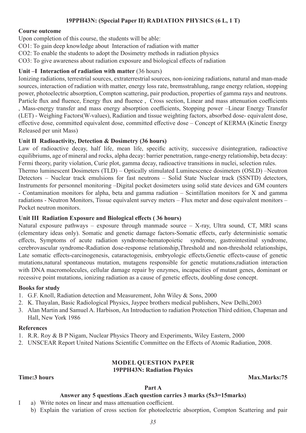### **19PPH43N: (Special Paper II) RADIATION PHYSICS (6 L, 1 T)**

#### **Course outcome**

Upon completion of this course, the students will be able:

CO1: To gain deep knowledge about Interaction of radiation with matter

CO2: To enable the students to adopt the Dosimetry methods in radiation physics

CO3: To give awareness about radiation exposure and biological effects of radiation

### **Unit –I Interaction of radiation with matter** (36 hours)

Ionizing radiations, terrestrial sources, extraterrestrial sources, non-ionizing radiations, natural and man-made sources, interaction of radiation with matter, energy loss rate, bremsstrahlung, range energy relation, stopping power, photoelectric absorption, Compton scattering, pair production, properties of gamma rays and neutrons. Particle flux and fluence, Energy flux and fluence , Cross section, Linear and mass attenuation coefficients , Mass-energy transfer and mass energy absorption coefficients, Stopping power –Linear Energy Transfer (LET) - Weighing Factors(W-values), Radiation and tissue weighting factors, absorbed dose- equivalent dose, effective dose, committed equivalent dose, committed effective dose – Concept of KERMA (Kinetic Energy Released per unit Mass)

#### **Unit II Radioactivity, Detection & Dosimetry (36 hours)**

Law of radioactive decay, half life, mean life, specific activity, successive disintegration, radioactive equilibriums, age of mineral and rocks, alpha decay: barrier penetration, range-energy relationship, beta decay: Fermi theory, parity violation, Curie plot, gamma decay, radioactive transitions in nuclei, selection rules.

Thermo luminescent Dosimeters (TLD) – Optically stimulated Luminescence dosimeters (OSLD) –Neutron Detectors – Nuclear track emulsions for fast neutrons – Solid State Nuclear track (SSNTD) detectors, Instruments for personnel monitoring –Digital pocket dosimeters using solid state devices and GM counters - Contamination monitors for alpha, beta and gamma radiation – Scintillation monitors for X and gamma radiations - Neutron Monitors, Tissue equivalent survey meters – Flux meter and dose equivalent monitors – Pocket neutron monitors.

### **Unit III Radiation Exposure and Biological effects ( 36 hours)**

Natural exposure pathways – exposure through manmade source –  $X$ -ray, Ultra sound, CT, MRI scans (elementary ideas only). Somatic and genetic damage factors-Somatic effects, early deterministic somatic effects, Symptoms of acute radiation syndrome-hematopoietic syndrome, gastrointestinal syndrome, cerebrovascular syndrome-Radiation dose-response relationship,Threshold and non-threshold relationships, Late somatic effects-carcinogenesis, cataractogenisis, embryologic effects,Genetic effects-cause of genetic mutations,natural spontaneous mutation, mutagens responsible for genetic mutations,radiation interaction with DNA macromolecules, cellular damage repair by enzymes, incapacities of mutant genes, dominant or recessive point mutations, ionizing radiation as a cause of genetic effects, doubling dose concept.

#### **Books for study**

- 1. G.F. Knoll, Radiation detection and Measurement, John Wiley & Sons, 2000
- 2. K. Thayalan, Basic Radiological Physics, Jaypee brothers medical publishers, New Delhi,2003
- 3. Alan Martin and Samuel A. Harbison, An Introduction to radiation Protection Third edition, Chapman and Hall, New York 1986

#### **References**

- 1. R.R. Roy & B P Nigam, Nuclear Physics Theory and Experiments, Wiley Eastern, 2000
- 2. UNSCEAR Report United Nations Scientific Committee on the Effects of Atomic Radiation, 2008.

#### **MODEL QUESTION PAPER 19PPH43N: Radiation Physics**

#### **Time:3 hours Max.Marks:75**

#### **Part A**

#### **Answer any 5 questions .Each question carries 3 marks (5x3=15marks)**

- I a) Write notes on linear and mass attenuation coefficient.
	- b) Explain the variation of cross section for photoelectric absorption, Compton Scattering and pair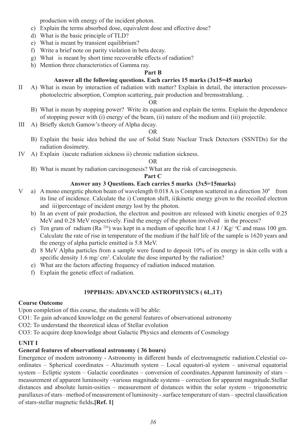production with energy of the incident photon.

- c) Explain the terms absorbed dose, equivalent dose and effective dose?
- d) What is the basic principle of TLD?
- e) What is meant by transient equilibrium?
- f) Write a brief note on parity violation in beta decay.
- g) What is meant by short time recoverable effects of radiation?
- h) Mention three characteristics of Gamma ray.

### **Part B**

### **Answer all the following questions. Each carries 15 marks (3x15=45 marks)**

II A) What is mean by interaction of radiation with matter? Explain in detail, the interaction processesphotoelectric absorption, Compton scattering, pair production and bremsstrahlung. .

#### OR

- B) What is mean by stopping power? Write its equation and explain the terms. Explain the dependence of stopping power with (i) energy of the beam, (ii) nature of the medium and (iii) projectile.
- III A) Briefly sketch Gamow's theory of Alpha decay.

#### OR

- B) Explain the basic idea behind the use of Solid State Nuclear Track Detectors (SSNTDs) for the radiation dosimetry.
- IV A) Explain i)acute radiation sickness ii) chronic radiation sickness.

#### OR

B) What is meant by radiation carcinogenesis? What are the risk of carcinogenesis.

### **Part C**

### **Answer any 3 Questions. Each carries 5 marks (3x5=15marks)**

- V a) A mono energetic photon beam of wavelength  $0.018$  A is Compton scattered in a direction  $30^{\circ}$  from its line of incidence. Calculate the i) Compton shift, ii)kinetic energy given to the recoiled electron and iii)percentage of incident energy lost by the photon.
	- b) In an event of pair production, the electron and positron are released with kinetic energies of 0.25 MeV and 0.28 MeV respectively. Find the energy of the photon involved in the process?
	- c) Ten gram of radium (Ra  $^{226}$ ) was kept in a medium of specific heat 1.4 J / Kg/  $^{\circ}$ C and mass 100 gm. Calculate the rate of rise in temperature of the medium if the half life of the sample is 1620 years and the energy of alpha particle emitted is 5.8 MeV.
	- d) 8 MeV Alpha particles from a sample were found to deposit 10% of its energy in skin cells with a specific density 1.6 mg/ cm<sup>2</sup>. Calculate the dose imparted by the radiation?
	- e) What are the factors affecting frequency of radiation induced mutation.
	- f) Explain the genetic effect of radiation.

### **19PPH43S: ADVANCED ASTROPHYSICS ( 6L,1T)**

### **Course Outcome**

Upon completion of this course, the students will be able:

CO1: To gain advanced knowledge on the general features of observational astronomy

CO2: To understand the theoretical ideas of Stellar evolution

CO3: To acquire deep knowledge about Galactic Physics and elements of Cosmology

### **UNIT I**

### **General features of observational astronomy ( 36 hours)**

Emergence of modern astronomy - Astronomy in different bands of electromagnetic radiation.Celestial coordinates – Spherical coordinates – Altazimuth system – Local equatori-al system – universal equatorial system – Ecliptic system – Galactic coordinates – conversion of coordinates.Apparent luminosity of stars – measurement of apparent luminosity –various magnitude systems – correction for apparent magnitude.Stellar distances and absolute lumin-osities – measurement of distances within the solar system – trigonometric parallaxes of stars– method of measurement of luminosity -.surface temperature of stars – spectral classification of stars-stellar magnetic fields**.[Ref. 1]**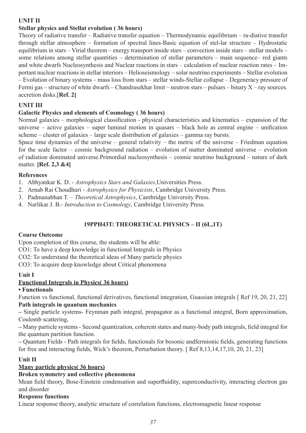### **UNIT II**

### **Stellar physics and Stellat evolution ( 36 hours)**

Theory of radiative transfer – Radiative transfer equation – Thermodynamic equilibrium – ra-diative transfer through stellar atmosphere – formation of spectral lines-Basic equation of stel-lar structure – Hydrostatic equilibrium in stars – Virial theorem – energy transport inside stars – convection inside stars – stellar models – some relations among stellar quantities – determination of stellar parameters – main sequence– red giants and white dwarfs Nucleosynthesis and Nuclear reactions in stars – calculation of nuclear reaction rates – Important nuclear reactions in stellar interiors – Helioseismology – solar neutrino experiments – Stellar evolution – Evolution of binary systems – mass loss from stars – stellar winds-Stellar collapse – Degeneracy pressure of Fermi gas – structure of white dwarfs – Chandrasekhar limit – neutron stars – pulsars – binary X – ray sources. accretion disks.[**Ref. 2]**

### **UNIT III**

### **Galactic Physics and elements of Cosmology ( 36 hours)**

Normal galaxies – morphological classification - physical characteristics and kinematics – expansion of the universe – active galaxies – super luminal motion in quasars – black hole as central engine – unification scheme – cluster of galaxies – large scale distribution of galaxies – gamma ray bursts.

Space time dynamics of the universe – general relativity – the metric of the universe – Friedman equation for the scale factor – cosmic background radiation – evolution of matter dominated universe – evolution of radiation dominated universe.Primordial nucleosynthesis – cosmic neutrino background – nature of dark matter. **[Ref. 2,3 &4]**

### **References**

1. Abhyankar K. D. - *Astrophysics Stars and Galaxies*,Universities Press.

- 2. Arnab Rai Choudhuri *Astrophysics for Physicists*, Cambridge University Press.
- 3. Padmanabhan T. *Theoretical Astrophysics*, Cambridge University Press.
- 4. Narlikar J. B.- *Introduction to Cosmology*, Cambridge University Press.

### **19PPH43T: THEORETICAL PHYSICS – II (6L,1T)**

### **Course Outcome**

Upon completion of this course, the students will be able:

CO1: To have a deep knowledge in functional Integrals in Physics

CO2: To understand the theoretical ideas of Many particle physics

CO3: To acquire deep knowledge about Critical phenomena

### **Unit I**

### **Functional Integrals in Physics( 36 hours)**

### **• Functionals**

Function vs functional, functional derivatives, functional integration, Guassian integrals [ Ref 19, 20, 21, 22] **Path integrals in quantum mechanics**

**–** Single particle systems- Feynman path integral, propagator as a functional integral, Born approximation, Coulomb scattering,

**–** Many particle systems - Second quantization, coherent states and many-body path integrals, field integral for the quantum partition function.

**–** Quantum Fields - Path integrals for fields, functionals for bosonic andfermionic fields, generating functions for free and interacting fields, Wick's theorem, Perturbation theory. [ Ref 8,13,14,17,10, 20, 21, 23]

### **Unit II**

### **Many particle physics( 36 hours)**

### **Broken symmetry and collective phenomena**

Mean field theory, Bose-Einstein condensation and superfluidity, superconductivity, interacting electron gas and disorder

#### **Response functions**

Linear response theory, analytic structure of correlation functions, electromagnetic linear response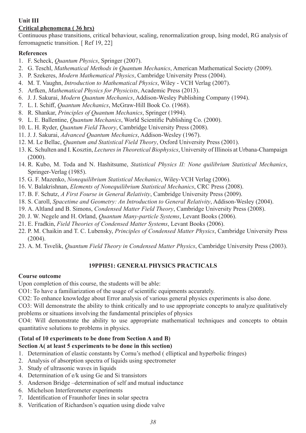### **Unit III**

### **Critical phenomena ( 36 hrs)**

Continuous phase transitions, critical behaviour, scaling, renormalization group, Ising model, RG analysis of ferromagnetic transition. [ Ref 19, 22]

### **References**

- 1. F. Scheck, *Quantum Physics*, Springer (2007).
- 2. G. Teschl, *Mathematical Methods in Quantum Mechanics*, American Mathematical Society (2009).
- 3. P. Szekeres, *Modern Mathematical Physics*, Cambridge University Press (2004).
- 4. M. T. Vaughn, *Introduction to Mathematical Physics*, Wiley VCH Verlag (2007).
- 5. Arfken, *Mathematical Physics for Physicists*, Academic Press (2013).
- 6. J. J. Sakurai, *Modern Quantum Mechanics*, Addison-Wesley Publishing Company (1994).
- 7. L. I. Schiff, *Quantum Mechanics*, McGraw-Hill Book Co. (1968).
- 8. R. Shankar, *Principles of Quantum Mechanics*, Springer (1994).
- 9. L. E. Ballentine, *Quantum Mechanics*, World Scientific Publishing Co. (2000).
- 10. L. H. Ryder, *Quantum Field Theory*, Cambridge University Press (2008).
- 11. J. J. Sakurai, *Advanced Quantum Mechanics*, Addison-Wesley (1967).
- 12. M. Le Bellac, *Quantum and Statistical Field Theory*, Oxford University Press (2001).
- 13. K. Schulten and I. Kosztin, *Lectures in Theoretical Biophysics*, University of Illinois at Urbana-Champaign (2000).
- 14. R. Kubo, M. Toda and N. Hashitsume, *Statistical Physics II: None quilibrium Statistical Mechanics*, Springer-Verlag (1985).
- 15. G. F. Mazenko, *Nonequilibrium Statistical Mechanics*, Wiley-VCH Verlag (2006).
- 16. V. Balakrishnan, *Elements of Nonequilibrium Statistical Mechanics*, CRC Press (2008).
- 17. B. F. Schutz, *A First Fourse in General Relativity*, Cambridge University Press (2009).
- 18. S. Caroll, *Spacetime and Geometry: An Introduction to General Relativity*, Addison-Wesley (2004).
- 19. A. Altland and B. Simons, *Condensed Matter Field Theory*, Cambridge University Press (2008).
- 20. J. W. Negele and H. Orland, *Quantum Many-particle Systems*, Levant Books (2006).
- 21. E. Fradkin, *Field Theories of Condensed Matter Systems*, Levant Books (2006).
- 22. P. M. Chaikin and T. C. Lubensky, *Principles of Condensed Matter Physics*, Cambridge University Press (2004).
- 23. A. M. Tsvelik, *Quantum Field Theory in Condensed Matter Physics*, Cambridge University Press (2003).

### **19PPH51: GENERAL PHYSICS PRACTICALS**

### **Course outcome**

Upon completion of this course, the students will be able:

CO1: To have a familiarization of the usage of scientific equipments accurately.

CO2: To enhance knowledge about Error analysis of various general physics experiments is also done.

CO3: Will demonstrate the ability to think critically and to use appropriate concepts to analyze qualitatively problems or situations involving the fundamental principles of physics

CO4: Will demonstrate the ability to use appropriate mathematical techniques and concepts to obtain quantitative solutions to problems in physics.

#### **(Total of 10 experiments to be done from Section A and B) Section A( at least 5 experiments to be done in this section)**

- 1. Determination of elastic constants by Cornu's method ( elliptical and hyperbolic fringes)
- 2. Analysis of absorption spectra of liquids using spectrometer
- 3. Study of ultrasonic waves in liquids
- 4. Determination of e/k using Ge and Si transistors
- 5. Anderson Bridge –determination of self and mutual inductance
- 6. Michelson Interferometer experiments
- 7. Identification of Fraunhofer lines in solar spectra
- 8. Verification of Richardson's equation using diode valve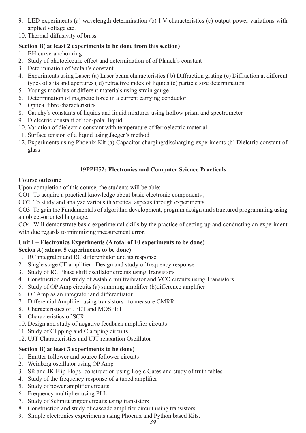- 9. LED experiments (a) wavelength determination (b) I-V characteristics (c) output power variations with applied voltage etc.
- 10. Thermal diffusivity of brass

### **Section B( at least 2 experiments to be done from this section)**

- 1. BH curve-anchor ring
- 2. Study of photoelectric effect and determination of of Planck's constant
- 3. Determination of Stefan's constant
- 4. Experiments using Laser: (a) Laser beam characteristics ( b) Diffraction grating (c) Diffraction at different types of slits and apertures ( d) refractive index of liquids (e) particle size determination
- 5. Youngs modulus of different materials using strain gauge
- 6. Determination of magnetic force in a current carrying conductor
- 7. Optical fibre characteristics
- 8. Cauchy's constants of liquids and liquid mixtures using hollow prism and spectrometer
- 9. Dielectric constant of non-polar liquid.
- 10. Variation of dielectric constant with temperature of ferroelectric material.
- 11. Surface tension of a liquid using Jaeger's method
- 12. Experiments using Phoenix Kit (a) Capacitor charging/discharging experiments (b) Dielctric constant of glass

### **19PPH52: Electronics and Computer Science Practicals**

### **Course outcome**

Upon completion of this course, the students will be able:

CO1: To acquire a practical knowledge about basic electronic components ,

CO2: To study and analyze various theoretical aspects through experiments.

CO3: To gain the Fundamentals of algorithm development, program design and structured programming using an object‐oriented language.

CO4: Will demonstrate basic experimental skills by the practice of setting up and conducting an experiment with due regards to minimizing measurement error.

### **Unit I – Electronics Experiments (A total of 10 experiments to be done) Secion A( atleast 5 experiments to be done)**

- 1. RC integrator and RC differentiator and its response.
- 2. Single stage CE amplifier –Design and study of frequency response
- 3. Study of RC Phase shift oscillator circuits using Transistors
- 4. Construction and study of Astable multivibrator and VCO circuits using Transistors
- 5. Study of OP Amp circuits (a) summing amplifier (b)difference amplifier
- 6. OP Amp as an integrator and differentiator
- 7. Differential Amplifier-using transistors –to measure CMRR
- 8. Characteristics of JFET and MOSFET
- 9. Characteristics of SCR
- 10. Design and study of negative feedback amplifier circuits
- 11. Study of Clipping and Clamping circuits
- 12. UJT Characteristics and UJT relaxation Oscillator

### **Section B( at least 3 experiments to be done)**

- 1. Emitter follower and source follower circuits
- 2. Weinberg oscillator using OP Amp
- 3. SR and JK Flip Flops -construction using Logic Gates and study of truth tables
- 4. Study of the frequency response of a tuned amplifier
- 5. Study of power amplifier circuits
- 6. Frequency multiplier using PLL
- 7. Study of Schmitt trigger circuits using transistors
- 8. Construction and study of cascade amplifier circuit using transistors.
- 9. Simple electronics experiments using Phoenix and Python based Kits.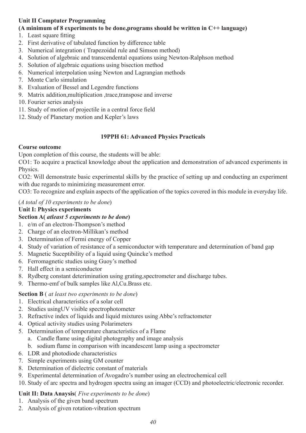### **Unit II Comptuter Programming**

### **(A minimum of 8 experiments to be done,programs should be written in C++ language)**

- 1. Least square fitting
- 2. First derivative of tabulated function by difference table
- 3. Numerical integration ( Trapezoidal rule and Simson method)
- 4. Solution of algebraic and transcendental equations using Newton-Ralphson method
- 5. Solution of algebraic equations using bisection method
- 6. Numerical interpolation using Newton and Lagrangian methods
- 7. Monte Carlo simulation
- 8. Evaluation of Bessel and Legendre functions
- 9. Matrix addition,multiplication ,trace,transpose and inverse
- 10. Fourier series analysis
- 11. Study of motion of projectile in a central force field
- 12. Study of Planetary motion and Kepler's laws

### **19PPH 61: Advanced Physics Practicals**

### **Course outcome**

Upon completion of this course, the students will be able:

CO1: To acquire a practical knowledge about the application and demonstration of advanced experiments in Physics.

CO2: Will demonstrate basic experimental skills by the practice of setting up and conducting an experiment with due regards to minimizing measurement error.

CO3: To recognize and explain aspects of the application of the topics covered in this module in everyday life.

### (*A total of 10 experiments to be done*)

### **Unit I: Physics experiments**

### **Section A(** *atleast 5 experiments to be done***)**

- 1. e/m of an electron-Thompson's method
- 2. Charge of an electron-Millikan's method
- 3. Determination of Fermi energy of Copper
- 4. Study of variation of resistance of a semiconductor with temperature and determination of band gap
- 5. Magnetic Suceptibility of a liquid using Quincke's method
- 6. Ferromagnetic studies using Guoy's method
- 7. Hall effect in a semiconductor
- 8. Rydberg constant deterimination using grating,spectrometer and discharge tubes.
- 9. Thermo-emf of bulk samples like Al,Cu.Brass etc.

### **Section B** ( *at least two experiments to be done*)

- 1. Electrical characteristics of a solar cell
- 2. Studies usingUV visible spectrophotometer
- 3. Refractive index of liquids and liquid mixtures using Abbe's refractometer
- 4. Optical activity studies using Polarimeters
- 5. Determination of temperature characteristics of a Flame
	- a. Candle flame using digital photography and image analysis
	- b. sodium flame in comparison with incandescent lamp using a spectrometer
- 6. LDR and photodiode characteristics
- 7. Simple experiments using GM counter
- 8. Determination of dielectric constant of materials
- 9. Experimental determination of Avogadro's number using an electrochemical cell
- 10. Study of arc spectra and hydrogen spectra using an imager (CCD) and photoelectric/electronic recorder.

### **Unit II: Data Anaysis**( *Five experiments to be done*)

- 1. Analysis of the given band spectrum
- 2. Analysis of given rotation-vibration spectrum